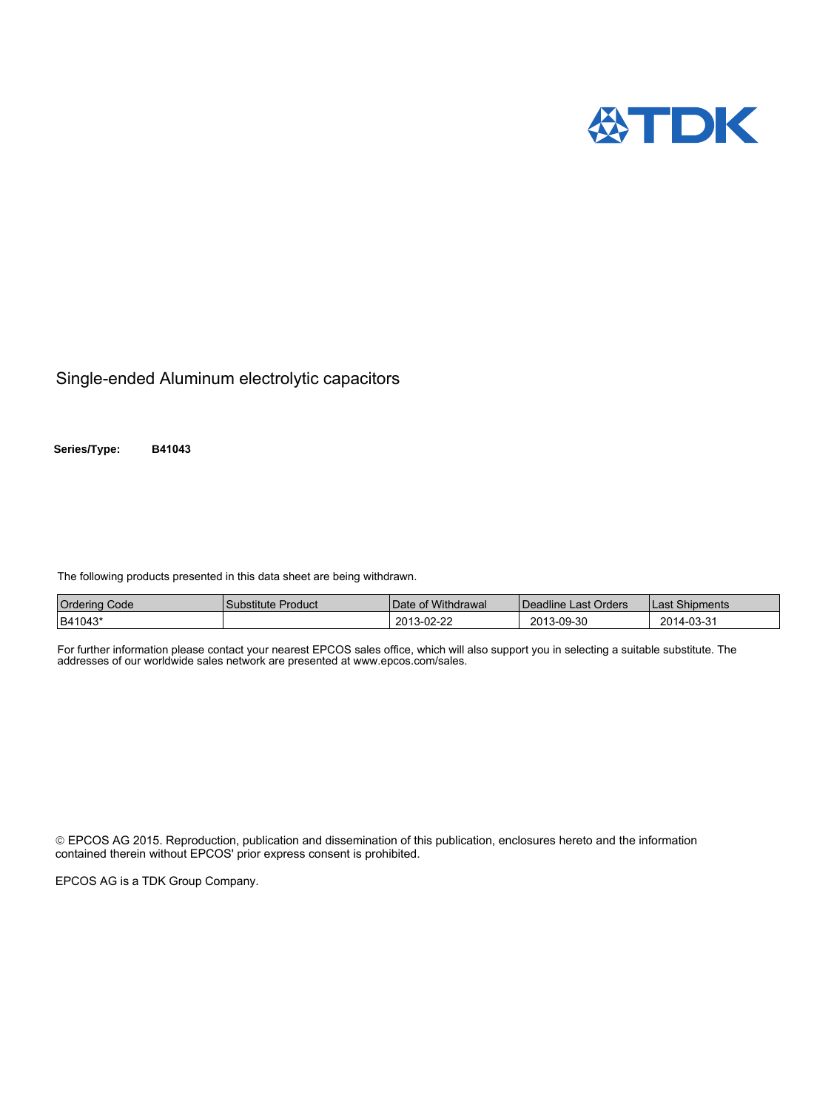

Single-ended Aluminum electrolytic capacitors

**Series/Type: B41043**

The following products presented in this data sheet are being withdrawn.

| <b>Ordering Code</b> | Substitute Product | Date of Withdrawal | Deadline Last Orders | Last Shipments |
|----------------------|--------------------|--------------------|----------------------|----------------|
| B41043*              |                    | 2013-02-22         | 2013-09-30           | 2014-03-31     |

For further information please contact your nearest EPCOS sales office, which will also support you in selecting a suitable substitute. The addresses of our worldwide sales network are presented at www.epcos.com/sales.

 EPCOS AG 2015. Reproduction, publication and dissemination of this publication, enclosures hereto and the information contained therein without EPCOS' prior express consent is prohibited.

EPCOS AG is a TDK Group Company.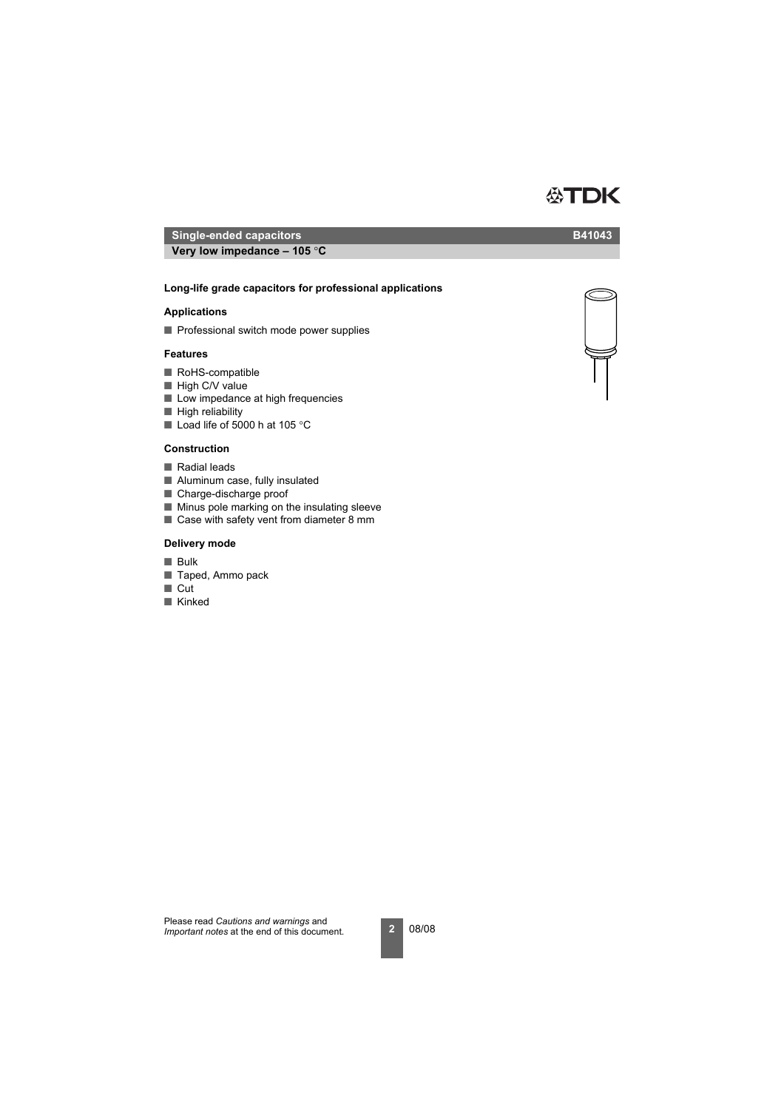# ■ Professional switch mode power supplies

**Long-life grade capacitors for professional applications Very low impedance – 105** °**C**

**Very low impedance – 105** °**C**

# **Features**

**Applications** 

- RoHS-compatible
- High C/V value
- Low impedance at high frequencies
- High reliability
- Load life of 5000 h at 105 °C

# **Construction**

- Radial leads
- Aluminum case, fully insulated
- Charge-discharge proof
- Minus pole marking on the insulating sleeve
- Case with safety vent from diameter 8 mm

# **Delivery mode**

- Bulk
- Taped, Ammo pack
- Cut
- Kinked



**ATDK** 



**Single-ended capacitors B41043**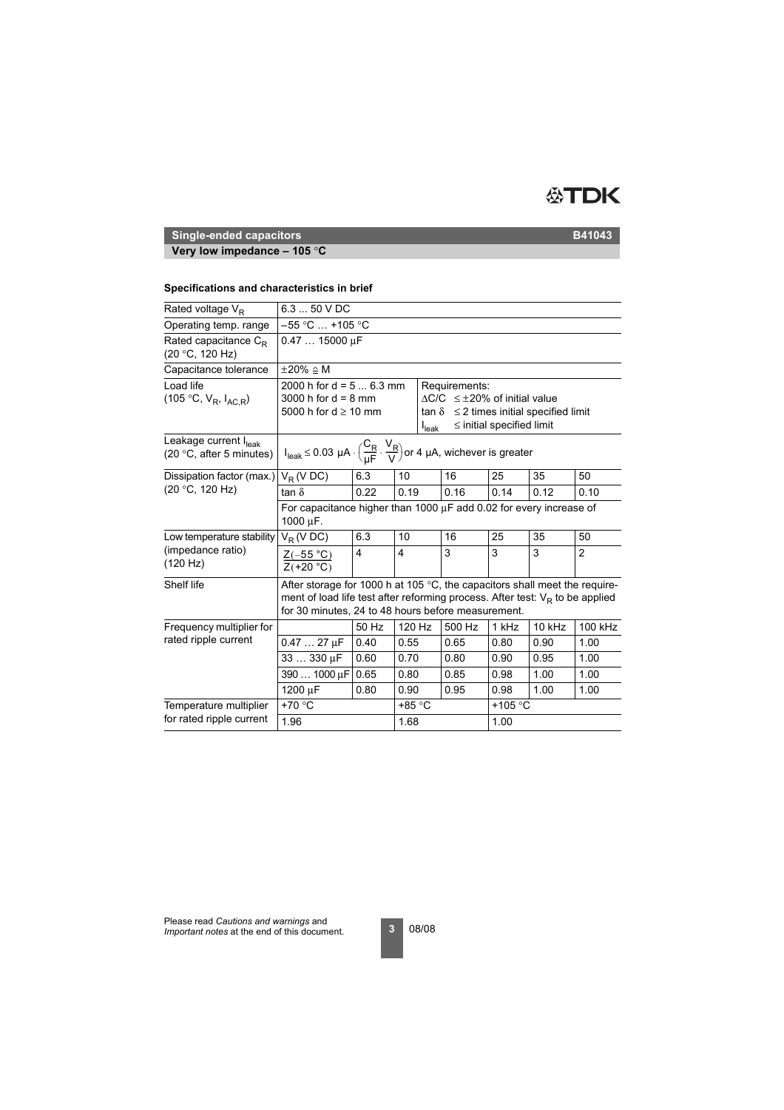

# **Very low impedance – 105** °**C**

### **Specifications and characteristics in brief**

| Rated voltage $V_R$                                           | $6.350$ V DC                                                                                                                                                                                                                 |                                                                                                                                                                                                                                                            |        |  |        |                  |        |         |  |  |
|---------------------------------------------------------------|------------------------------------------------------------------------------------------------------------------------------------------------------------------------------------------------------------------------------|------------------------------------------------------------------------------------------------------------------------------------------------------------------------------------------------------------------------------------------------------------|--------|--|--------|------------------|--------|---------|--|--|
| Operating temp. range                                         |                                                                                                                                                                                                                              | $-55$ °C $$ +105 °C                                                                                                                                                                                                                                        |        |  |        |                  |        |         |  |  |
| Rated capacitance $C_{\rm R}$<br>(20 °C, 120 Hz)              |                                                                                                                                                                                                                              | $0.4715000 \mu F$                                                                                                                                                                                                                                          |        |  |        |                  |        |         |  |  |
| Capacitance tolerance                                         | $\pm 20\% \triangleq M$                                                                                                                                                                                                      |                                                                                                                                                                                                                                                            |        |  |        |                  |        |         |  |  |
| Load life<br>(105 °C, $V_R$ , $I_{AC,R}$ )                    |                                                                                                                                                                                                                              | 2000 h for $d = 56.3$ mm<br>Requirements:<br>$\Delta C/C \leq \pm 20\%$ of initial value<br>3000 h for $d = 8$ mm<br>5000 h for $d \ge 10$ mm<br>$\tan \delta \leq 2$ times initial specified limit<br>$\leq$ initial specified limit<br>I <sub>leak</sub> |        |  |        |                  |        |         |  |  |
| Leakage current $I_{\text{leak}}$<br>(20 °C, after 5 minutes) | $I_{\mathsf{leak}} \le 0.03~\mu A \cdot \left(\frac{C_R}{\mu F} \cdot \frac{V_R}{V}\right)$ or 4 $\mu A$ , wichever is greater                                                                                               |                                                                                                                                                                                                                                                            |        |  |        |                  |        |         |  |  |
| Dissipation factor (max.)<br>(20 °C, 120 Hz)                  | $V_R$ (V DC)                                                                                                                                                                                                                 | 6.3                                                                                                                                                                                                                                                        | 10     |  | 16     | 25               | 35     | 50      |  |  |
|                                                               | tan $\delta$                                                                                                                                                                                                                 | 0.22                                                                                                                                                                                                                                                       | 0.19   |  | 0.16   | 0.14             | 0.12   | 0.10    |  |  |
|                                                               | For capacitance higher than 1000 $\mu$ F add 0.02 for every increase of<br>1000 µF.                                                                                                                                          |                                                                                                                                                                                                                                                            |        |  |        |                  |        |         |  |  |
| Low temperature stability                                     | $V_R$ (V DC)                                                                                                                                                                                                                 | 6.3                                                                                                                                                                                                                                                        | 10     |  | 16     | 25               | 35     | 50      |  |  |
| (impedance ratio)<br>(120 Hz)                                 | $Z(-55 °C)$<br>$Z(+20 °C)$                                                                                                                                                                                                   | 4                                                                                                                                                                                                                                                          | 4      |  | 3      | 3                | 3      | 2       |  |  |
| Shelf life                                                    | After storage for 1000 h at 105 $\degree$ C, the capacitors shall meet the require-<br>ment of load life test after reforming process. After test: $V_R$ to be applied<br>for 30 minutes, 24 to 48 hours before measurement. |                                                                                                                                                                                                                                                            |        |  |        |                  |        |         |  |  |
| Frequency multiplier for                                      |                                                                                                                                                                                                                              | 50 Hz                                                                                                                                                                                                                                                      | 120 Hz |  | 500 Hz | 1 kHz            | 10 kHz | 100 kHz |  |  |
| rated ripple current                                          | $0.4727 \mu F$                                                                                                                                                                                                               | 0.40                                                                                                                                                                                                                                                       | 0.55   |  | 0.65   | 0.80             | 0.90   | 1.00    |  |  |
|                                                               | 33  330 µF                                                                                                                                                                                                                   | 0.60                                                                                                                                                                                                                                                       | 0.70   |  | 0.80   | 0.90             | 0.95   | 1.00    |  |  |
|                                                               | 390  1000 µF                                                                                                                                                                                                                 | 0.65                                                                                                                                                                                                                                                       | 0.80   |  | 0.85   | 0.98             | 1.00   | 1.00    |  |  |
|                                                               | 1200 µF                                                                                                                                                                                                                      | 0.80                                                                                                                                                                                                                                                       | 0.90   |  | 0.95   | 0.98             | 1.00   | 1.00    |  |  |
| Temperature multiplier                                        | +70 °C                                                                                                                                                                                                                       |                                                                                                                                                                                                                                                            | +85 °C |  |        | +105 $\degree$ C |        |         |  |  |
| for rated ripple current                                      | 1.96                                                                                                                                                                                                                         |                                                                                                                                                                                                                                                            | 1.68   |  |        | 1.00             |        |         |  |  |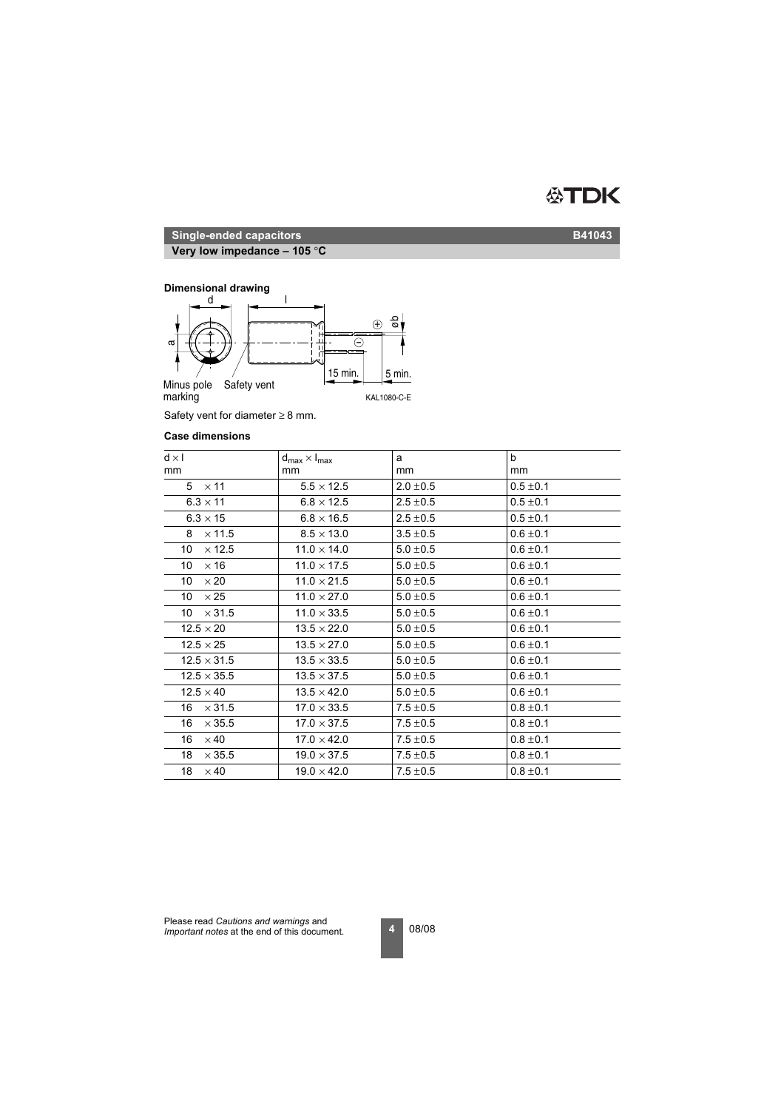

**Very low impedance – 105** °**C**

### **Dimensional drawing**



Safety vent for diameter  $\geq 8$  mm.

### **Case dimensions**

| $d \times l$        | $d_{\text{max}} \times I_{\text{max}}$ | a             | $\mathbf b$   |
|---------------------|----------------------------------------|---------------|---------------|
| mm                  | <sub>mm</sub>                          | mm            | mm            |
| $5 \times 11$       | $5.5 \times 12.5$                      | $2.0 \pm 0.5$ | $0.5 \pm 0.1$ |
| $6.3 \times 11$     | $6.8 \times 12.5$                      | $2.5 \pm 0.5$ | $0.5 \pm 0.1$ |
| $6.3 \times 15$     | $6.8 \times 16.5$                      | $2.5 \pm 0.5$ | $0.5 \pm 0.1$ |
| $\times$ 11.5<br>8  | $8.5 \times 13.0$                      | $3.5 \pm 0.5$ | $0.6 \pm 0.1$ |
| $\times$ 12.5<br>10 | $11.0 \times 14.0$                     | $5.0 \pm 0.5$ | $0.6 \pm 0.1$ |
| $\times$ 16<br>10   | $11.0 \times 17.5$                     | $5.0 \pm 0.5$ | $0.6 \pm 0.1$ |
| 10<br>$\times 20$   | $11.0 \times 21.5$                     | $5.0 \pm 0.5$ | $0.6 \pm 0.1$ |
| $\times 25$<br>10   | $11.0 \times 27.0$                     | $5.0 \pm 0.5$ | $0.6 \pm 0.1$ |
| 10<br>$\times$ 31.5 | $11.0 \times 33.5$                     | $5.0 \pm 0.5$ | $0.6 \pm 0.1$ |
| $12.5 \times 20$    | $13.5 \times 22.0$                     | $5.0 \pm 0.5$ | $0.6 \pm 0.1$ |
| $12.5 \times 25$    | $13.5 \times 27.0$                     | $5.0 \pm 0.5$ | $0.6 \pm 0.1$ |
| $12.5 \times 31.5$  | $13.5 \times 33.5$                     | $5.0 \pm 0.5$ | $0.6 \pm 0.1$ |
| $12.5 \times 35.5$  | $13.5 \times 37.5$                     | $5.0 \pm 0.5$ | $0.6 \pm 0.1$ |
| $12.5 \times 40$    | $13.5 \times 42.0$                     | $5.0 \pm 0.5$ | $0.6 \pm 0.1$ |
| $\times$ 31.5<br>16 | $17.0 \times 33.5$                     | $7.5 \pm 0.5$ | $0.8 \pm 0.1$ |
| 16<br>$\times$ 35.5 | $17.0 \times 37.5$                     | $7.5 \pm 0.5$ | $0.8 \pm 0.1$ |
| 16<br>$\times$ 40   | $17.0 \times 42.0$                     | $7.5 \pm 0.5$ | $0.8 \pm 0.1$ |
| 18<br>$\times$ 35.5 | $19.0 \times 37.5$                     | $7.5 \pm 0.5$ | $0.8 \pm 0.1$ |
| 18<br>$\times$ 40   | $19.0 \times 42.0$                     | $7.5 \pm 0.5$ | $0.8 \pm 0.1$ |
|                     |                                        |               |               |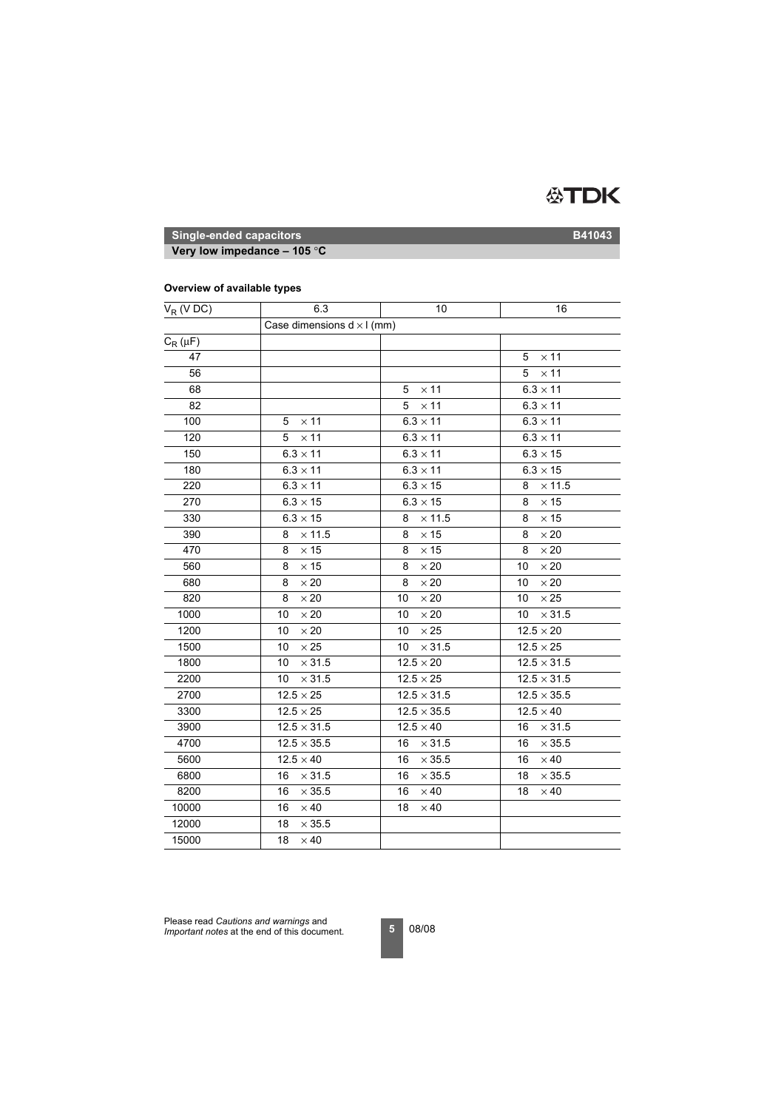

**Very low impedance – 105** °**C**

# **Overview of available types**

| $V_R$ (V DC) | 6.3                               | 10                  | 16                  |
|--------------|-----------------------------------|---------------------|---------------------|
|              | Case dimensions $d \times l$ (mm) |                     |                     |
| $C_R(\mu F)$ |                                   |                     |                     |
| 47           |                                   |                     | $\times$ 11<br>5    |
| 56           |                                   |                     | 5<br>$\times$ 11    |
| 68           |                                   | $\times$ 11<br>5    | $6.3 \times 11$     |
| 82           |                                   | $5 \times 11$       | $6.3 \times 11$     |
| 100          | $\times$ 11<br>5                  | $6.3 \times 11$     | $6.3 \times 11$     |
| 120          | $\times$ 11<br>5                  | $6.3 \times 11$     | $6.3 \times 11$     |
| 150          | $6.3 \times 11$                   | $6.3 \times 11$     | $6.3\times15$       |
| 180          | $6.3 \times 11$                   | $6.3 \times 11$     | $6.3\times15$       |
| 220          | $6.3 \times 11$                   | $6.3 \times 15$     | $\times$ 11.5<br>8  |
| 270          | $6.3 \times 15$                   | $6.3 \times 15$     | $\times$ 15<br>8    |
| 330          | $6.3 \times 15$                   | $\times$ 11.5<br>8  | $\times$ 15<br>8    |
| 390          | $\times$ 11.5<br>8                | $\times$ 15<br>8    | $\times\,20$<br>8   |
| 470          | $\times$ 15<br>8                  | $\times$ 15<br>8    | $\times 20$<br>8    |
| 560          | $\times$ 15<br>8                  | $\times 20$<br>8    | $\times 20$<br>10   |
| 680          | $\times 20$<br>8                  | $\times 20$<br>8    | $\times 20$<br>10   |
| 820          | $\times 20$<br>8                  | $\times 20$<br>10   | $\times 25$<br>10   |
| 1000         | 10<br>$\times 20$                 | 10<br>$\times 20$   | $\times$ 31.5<br>10 |
| 1200         | $\times 20$<br>10                 | $\times 25$<br>10   | $12.5 \times 20$    |
| 1500         | $\times\,25$<br>10                | $\times$ 31.5<br>10 | $12.5\times25$      |
| 1800         | $\times$ 31.5<br>10               | $12.5 \times 20$    | $12.5 \times 31.5$  |
| 2200         | $\times$ 31.5<br>10               | $12.5 \times 25$    | $12.5 \times 31.5$  |
| 2700         | $12.5 \times 25$                  | $12.5 \times 31.5$  | $12.5 \times 35.5$  |
| 3300         | $12.5 \times 25$                  | $12.5\times35.5$    | $12.5 \times 40$    |
| 3900         | $12.5 \times 31.5$                | $12.5 \times 40$    | $\times$ 31.5<br>16 |
| 4700         | $12.5 \times 35.5$                | $\times$ 31.5<br>16 | $\times$ 35.5<br>16 |
| 5600         | $12.5 \times 40$                  | $\times$ 35.5<br>16 | $\times$ 40<br>16   |
| 6800         | $\times$ 31.5<br>16               | $\times$ 35.5<br>16 | $\times$ 35.5<br>18 |
| 8200         | 16<br>$\times$ 35.5               | $\times$ 40<br>16   | 18<br>$\times$ 40   |
| 10000        | $\times$ 40<br>16                 | 18<br>$\times$ 40   |                     |
| 12000        | $\times$ 35.5<br>18               |                     |                     |
| 15000        | $\times$ 40<br>18                 |                     |                     |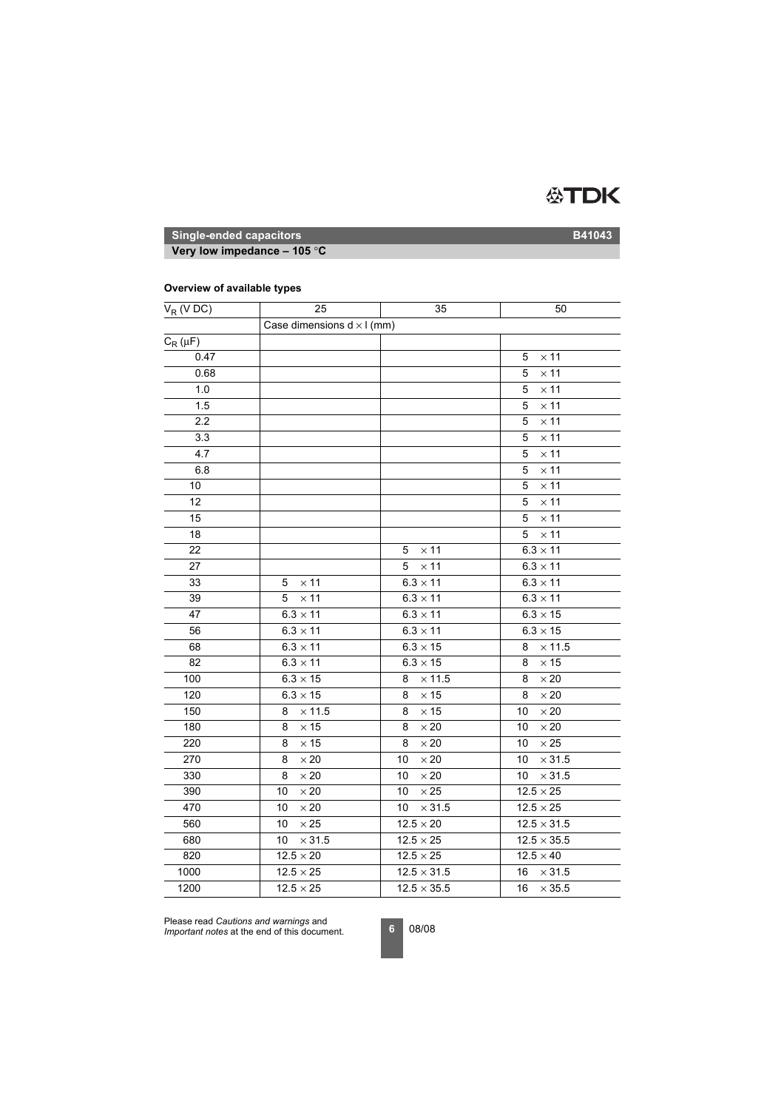

**Very low impedance – 105** °**C**

### **Overview of available types**

| $V_R$ (V DC) | 25                                | 35                         | 50                  |
|--------------|-----------------------------------|----------------------------|---------------------|
|              | Case dimensions $d \times l$ (mm) |                            |                     |
| $C_R(\mu F)$ |                                   |                            |                     |
| 0.47         |                                   |                            | $\times$ 11<br>5    |
| 0.68         |                                   |                            | $\times$ 11<br>5    |
| 1.0          |                                   |                            | $\times$ 11<br>5    |
| 1.5          |                                   |                            | $\times$ 11<br>5    |
| 2.2          |                                   |                            | $\times$ 11<br>5    |
| 3.3          |                                   |                            | $\times$ 11<br>5    |
| 4.7          |                                   |                            | $\times$ 11<br>5    |
| 6.8          |                                   |                            | $\times$ 11<br>5    |
| 10           |                                   |                            | $\times$ 11<br>5    |
| 12           |                                   |                            | $\times$ 11<br>5    |
| 15           |                                   |                            | $\times$ 11<br>5    |
| 18           |                                   |                            | 5<br>$\times$ 11    |
| 22           |                                   | $\times$ 11<br>5           | $6.3 \times 11$     |
| 27           |                                   | 5<br>$\times$ 11           | $6.3 \times 11$     |
| 33           | $\times$ 11<br>5                  | $\overline{6.3} \times 11$ | $6.3 \times 11$     |
| 39           | $\times$ 11<br>5                  | $6.3 \times 11$            | $6.3 \times 11$     |
| 47           | $6.3 \times 11$                   | $6.3 \times 11$            | $6.3 \times 15$     |
| 56           | $6.3 \times 11$                   | $6.3 \times 11$            | $6.3 \times 15$     |
| 68           | $6.3 \times 11$                   | $6.3 \times 15$            | $\times$ 11.5<br>8  |
| 82           | $6.3 \times 11$                   | $6.3 \times 15$            | $\times$ 15<br>8    |
| 100          | $6.3 \times 15$                   | $\times$ 11.5<br>8         | $\times 20$<br>8    |
| 120          | $6.3 \times 15$                   | $\times$ 15<br>8           | $\times 20$<br>8    |
| 150          | $\times$ 11.5<br>8                | $\times$ 15<br>8           | $\times 20$<br>10   |
| 180          | $\times$ 15<br>8                  | $\times 20$<br>8           | $\times 20$<br>10   |
| 220          | $\times$ 15<br>8                  | $\times\,20$<br>8          | $\times\,25$<br>10  |
| 270          | $\times\,20$<br>8                 | $\times 20$<br>10          | 10<br>$\times$ 31.5 |
| 330          | $\times 20$<br>8                  | $\times\,20$<br>10         | $\times$ 31.5<br>10 |
| 390          | $\times 20$<br>10                 | $\times 25$<br>10          | $12.5 \times 25$    |
| 470          | $\times 20$<br>10                 | $\times$ 31.5<br>10        | $12.5 \times 25$    |
| 560          | $\times 25$<br>10                 | $12.5 \times 20$           | $12.5 \times 31.5$  |
| 680          | $\times$ 31.5<br>10               | $12.5 \times 25$           | $12.5\times35.5$    |
| 820          | $12.5 \times 20$                  | $12.5 \times 25$           | $12.5 \times 40$    |
| 1000         | $12.5 \times 25$                  | $12.5 \times 31.5$         | 16<br>$\times$ 31.5 |
| 1200         | $12.5 \times 25$                  | $12.5 \times 35.5$         | 16<br>$\times$ 35.5 |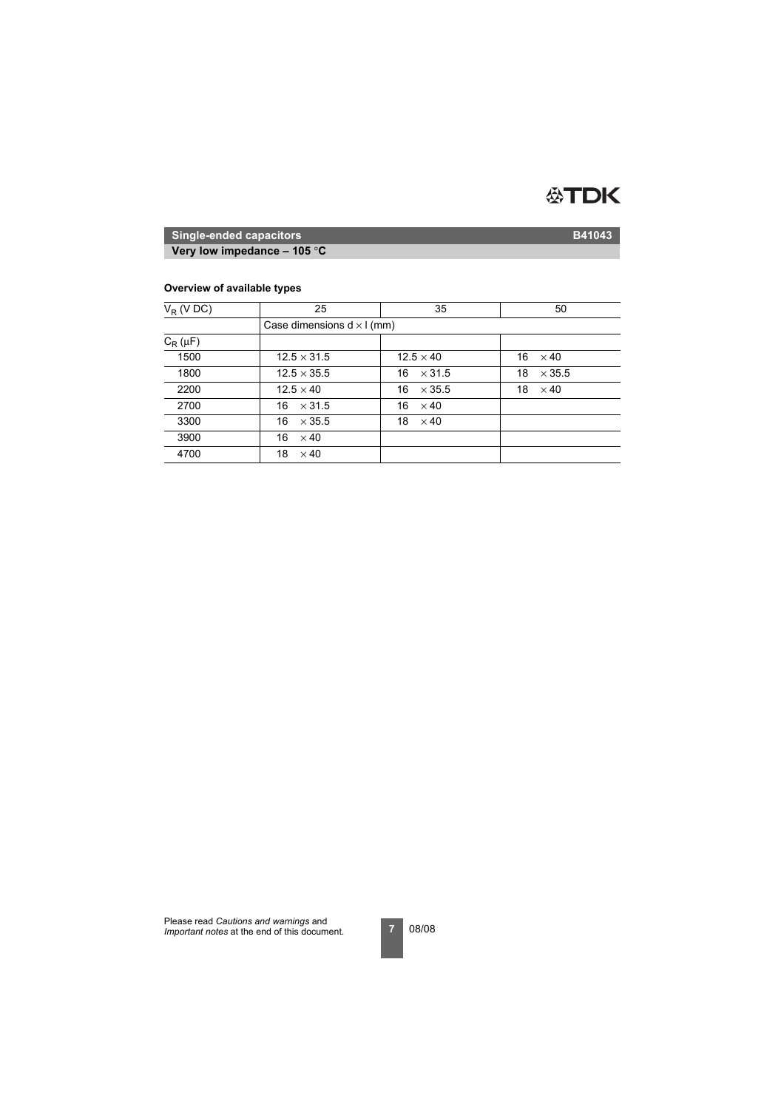

**Very low impedance – 105** °**C**

### **Overview of available types**

| $V_R$ (V DC) | 25                                | 35                  | 50                  |  |  |  |  |  |  |
|--------------|-----------------------------------|---------------------|---------------------|--|--|--|--|--|--|
|              | Case dimensions $d \times l$ (mm) |                     |                     |  |  |  |  |  |  |
| $C_R(\mu F)$ |                                   |                     |                     |  |  |  |  |  |  |
| 1500         | $12.5 \times 31.5$                | $12.5 \times 40$    | 16<br>$\times$ 40   |  |  |  |  |  |  |
| 1800         | $12.5 \times 35.5$                | $\times$ 31.5<br>16 | $\times$ 35.5<br>18 |  |  |  |  |  |  |
| 2200         | $12.5 \times 40$                  | $\times$ 35.5<br>16 | 18<br>$\times$ 40   |  |  |  |  |  |  |
| 2700         | 16<br>$\times$ 31.5               | 16<br>$\times$ 40   |                     |  |  |  |  |  |  |
| 3300         | 16<br>$\times$ 35.5               | 18<br>$\times$ 40   |                     |  |  |  |  |  |  |
| 3900         | 16<br>$\times$ 40                 |                     |                     |  |  |  |  |  |  |
| 4700         | 18<br>$\times$ 40                 |                     |                     |  |  |  |  |  |  |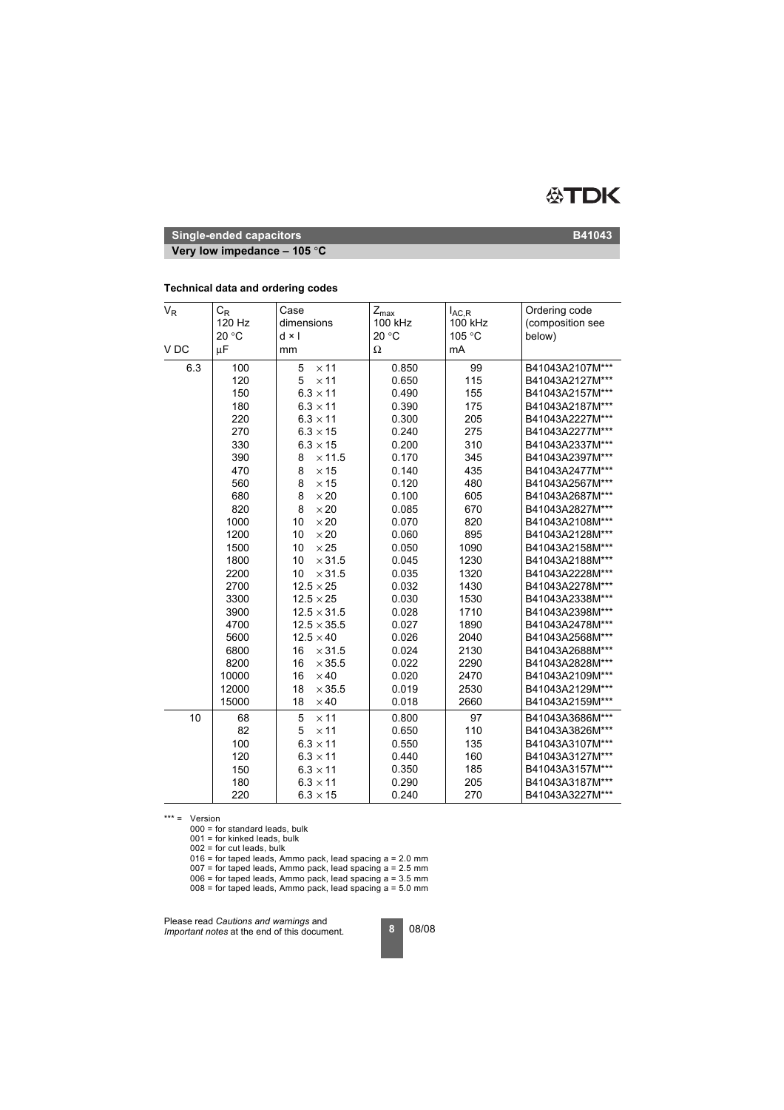

**Very low impedance – 105** °**C**

| $\mathsf{V}_{\mathsf{R}}$ | $C_{\mathsf{R}}$<br>120 Hz<br>20 °C | Case<br>dimensions<br>$d \times l$   | $Z_{\text{max}}$<br>100 kHz<br>20 °C | $I_{AC,R}$<br>100 kHz<br>105 °C | Ordering code<br>(composition see<br>below) |
|---------------------------|-------------------------------------|--------------------------------------|--------------------------------------|---------------------------------|---------------------------------------------|
| V <sub>DC</sub>           | μF                                  | mm                                   | Ω                                    | mA                              |                                             |
| 6.3                       | 100<br>120                          | 5<br>$\times$ 11<br>$\times$ 11<br>5 | 0.850<br>0.650                       | 99<br>115                       | B41043A2107M***<br>B41043A2127M***          |
|                           | 150                                 | $6.3 \times 11$                      | 0.490                                | 155                             | B41043A2157M***                             |
|                           | 180                                 | $6.3 \times 11$                      | 0.390                                | 175                             | B41043A2187M***                             |
|                           | 220                                 | $6.3 \times 11$                      | 0.300                                | 205                             | B41043A2227M***                             |
|                           | 270                                 | $6.3 \times 15$                      | 0.240                                | 275                             | B41043A2277M***                             |
|                           | 330                                 | $6.3 \times 15$                      | 0.200                                | 310                             | B41043A2337M***                             |
|                           | 390                                 | $\times$ 11.5<br>8                   | 0.170                                | 345                             | B41043A2397M***                             |
|                           | 470                                 | 8<br>$\times$ 15                     | 0.140                                | 435                             | B41043A2477M***                             |
|                           | 560                                 | 8<br>$\times$ 15                     | 0.120                                | 480                             | B41043A2567M***                             |
|                           | 680                                 | 8<br>$\times 20$                     | 0.100                                | 605                             | B41043A2687M***                             |
|                           | 820                                 | 8<br>$\times 20$                     | 0.085                                | 670                             | B41043A2827M***                             |
|                           | 1000                                | 10<br>$\times 20$                    | 0.070                                | 820                             | B41043A2108M***                             |
|                           | 1200                                | $\times 20$<br>10                    | 0.060                                | 895                             | B41043A2128M***                             |
|                           | 1500                                | $\times 25$<br>10                    | 0.050                                | 1090                            | B41043A2158M***                             |
|                           | 1800                                | $\times$ 31.5<br>10                  | 0.045                                | 1230                            | B41043A2188M***                             |
|                           | 2200                                | 10<br>$\times$ 31.5                  | 0.035                                | 1320                            | B41043A2228M***                             |
|                           | 2700                                | $12.5 \times 25$                     | 0.032                                | 1430                            | B41043A2278M***                             |
|                           | 3300                                | $12.5 \times 25$                     | 0.030                                | 1530                            | B41043A2338M***                             |
|                           | 3900                                | $12.5 \times 31.5$                   | 0.028                                | 1710                            | B41043A2398M***                             |
|                           | 4700                                | $12.5 \times 35.5$                   | 0.027                                | 1890                            | B41043A2478M***                             |
|                           | 5600                                | $12.5 \times 40$                     | 0.026                                | 2040                            | B41043A2568M***                             |
|                           | 6800                                | $\times$ 31.5<br>16                  | 0.024                                | 2130                            | B41043A2688M***                             |
|                           | 8200                                | 16<br>$\times$ 35.5                  | 0.022                                | 2290                            | B41043A2828M***                             |
|                           | 10000                               | 16<br>$\times$ 40                    | 0.020                                | 2470                            | B41043A2109M***                             |
|                           | 12000                               | $\times$ 35.5<br>18                  | 0.019                                | 2530                            | B41043A2129M***                             |
|                           | 15000                               | $\times$ 40<br>18                    | 0.018                                | 2660                            | B41043A2159M***                             |
| 10                        | 68                                  | $\times$ 11<br>5                     | 0.800                                | 97                              | B41043A3686M***                             |
|                           | 82                                  | $\times$ 11<br>5                     | 0.650                                | 110                             | B41043A3826M***                             |
|                           | 100                                 | $6.3 \times 11$                      | 0.550                                | 135                             | B41043A3107M***                             |
|                           | 120                                 | $6.3 \times 11$                      | 0.440                                | 160                             | B41043A3127M***                             |
|                           | 150                                 | $6.3 \times 11$                      | 0.350                                | 185                             | B41043A3157M***                             |
|                           | 180                                 | $6.3 \times 11$                      | 0.290                                | 205                             | B41043A3187M***                             |
|                           | 220                                 | $6.3 \times 15$                      | 0.240                                | 270                             | B41043A3227M***                             |

### **Technical data and ordering codes**

\*\*\* = Version

000 = for standard leads, bulk

001 = for kinked leads, bulk

002 = for cut leads, bulk

016 = for taped leads, Ammo pack, lead spacing a = 2.0 mm

 $007$  = for taped leads, Ammo pack, lead spacing a = 2.5 mm

 $006$  = for taped leads, Ammo pack, lead spacing  $a = 3.5$  mm

 $008$  = for taped leads, Ammo pack, lead spacing  $a = 5.0$  mm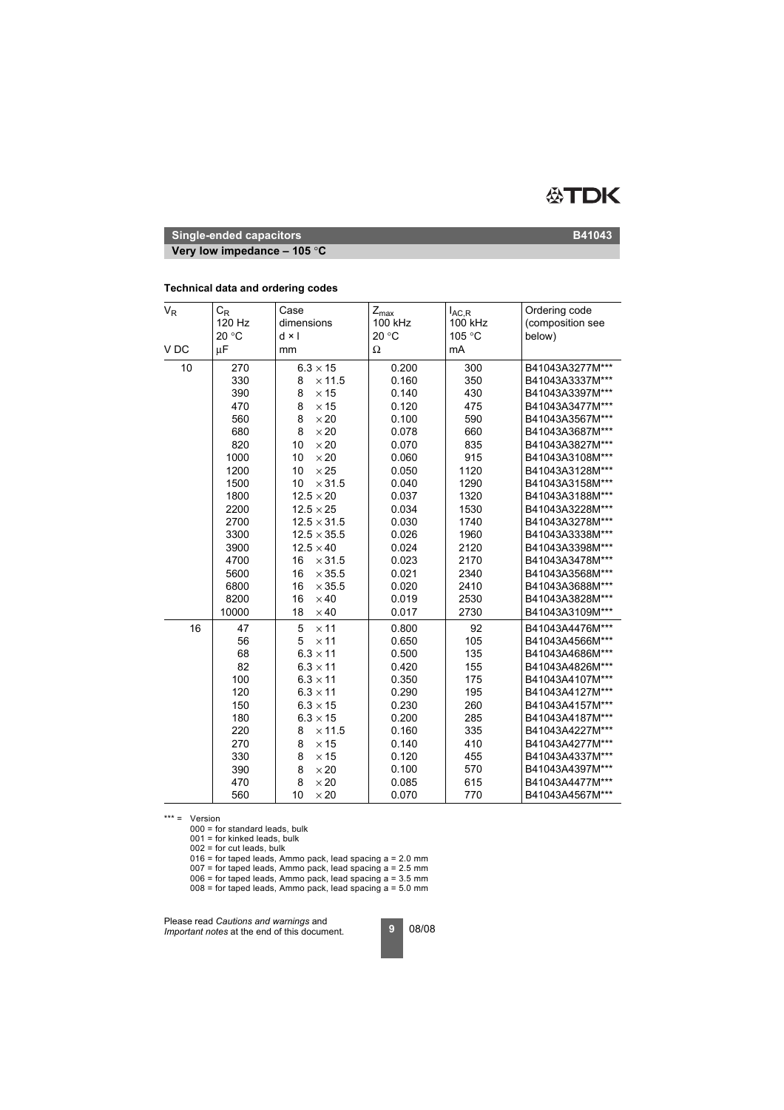

**Very low impedance – 105** °**C**

### **Technical data and ordering codes**

| $\mathsf{V}_{\mathsf{R}}$ | $C_R$<br>120 Hz<br>20 °C | Case<br>dimensions<br>d × l | $Z_{\sf max}$<br>100 kHz<br>20 °C | $I_{AC,R}$<br>100 kHz<br>105 °C | Ordering code<br>(composition see<br>below) |
|---------------------------|--------------------------|-----------------------------|-----------------------------------|---------------------------------|---------------------------------------------|
| V <sub>DC</sub>           | μF                       | mm                          | Ω                                 | mA                              |                                             |
| 10                        | 270                      | $6.3 \times 15$             | 0.200                             | 300                             | B41043A3277M***                             |
|                           | 330                      | $\times$ 11.5<br>8          | 0.160                             | 350                             | B41043A3337M***                             |
|                           | 390                      | 8<br>$\times$ 15            | 0.140                             | 430                             | B41043A3397M***                             |
|                           | 470                      | 8<br>$\times$ 15            | 0.120                             | 475                             | B41043A3477M***                             |
|                           | 560                      | 8<br>$\times 20$            | 0.100                             | 590                             | B41043A3567M***                             |
|                           | 680                      | 8<br>$\times 20$            | 0.078                             | 660                             | B41043A3687M***                             |
|                           | 820                      | 10<br>$\times 20$           | 0.070                             | 835                             | B41043A3827M***                             |
|                           | 1000                     | $\times 20$<br>10           | 0.060                             | 915                             | B41043A3108M***                             |
|                           | 1200                     | $\times 25$<br>10           | 0.050                             | 1120                            | B41043A3128M***                             |
|                           | 1500                     | 10<br>$\times$ 31.5         | 0.040                             | 1290                            | B41043A3158M***                             |
|                           | 1800                     | $12.5 \times 20$            | 0.037                             | 1320                            | B41043A3188M***                             |
|                           | 2200                     | $12.5 \times 25$            | 0.034                             | 1530                            | B41043A3228M***                             |
|                           | 2700                     | $12.5 \times 31.5$          | 0.030                             | 1740                            | B41043A3278M***                             |
|                           | 3300                     | $12.5 \times 35.5$          | 0.026                             | 1960                            | B41043A3338M***                             |
|                           | 3900                     | $12.5 \times 40$            | 0.024                             | 2120                            | B41043A3398M***                             |
|                           | 4700                     | $\times$ 31.5<br>16         | 0.023                             | 2170                            | B41043A3478M***                             |
|                           | 5600                     | 16<br>$\times$ 35.5         | 0.021                             | 2340                            | B41043A3568M***                             |
|                           | 6800                     | 16<br>$\times$ 35.5         | 0.020                             | 2410                            | B41043A3688M***                             |
|                           | 8200                     | $\times$ 40<br>16           | 0.019                             | 2530                            | B41043A3828M***                             |
|                           | 10000                    | $\times 40$<br>18           | 0.017                             | 2730                            | B41043A3109M***                             |
| 16                        | 47                       | 5<br>$\times$ 11            | 0.800                             | 92                              | B41043A4476M***                             |
|                           | 56                       | 5<br>$\times$ 11            | 0.650                             | 105                             | B41043A4566M***                             |
|                           | 68                       | $6.3 \times 11$             | 0.500                             | 135                             | B41043A4686M***                             |
|                           | 82                       | $6.3 \times 11$             | 0.420                             | 155                             | B41043A4826M***                             |
|                           | 100                      | $6.3 \times 11$             | 0.350                             | 175                             | B41043A4107M***                             |
|                           | 120                      | $6.3 \times 11$             | 0.290                             | 195                             | B41043A4127M***                             |
|                           | 150                      | $6.3 \times 15$             | 0.230                             | 260                             | B41043A4157M***                             |
|                           | 180                      | $6.3 \times 15$             | 0.200                             | 285                             | B41043A4187M***                             |
|                           | 220                      | 8<br>$\times$ 11.5          | 0.160                             | 335                             | B41043A4227M***                             |
|                           | 270                      | 8<br>$\times$ 15            | 0.140                             | 410                             | B41043A4277M***                             |
|                           | 330                      | 8<br>$\times$ 15            | 0.120                             | 455                             | B41043A4337M***                             |
|                           | 390                      | 8<br>$\times 20$            | 0.100                             | 570                             | B41043A4397M***                             |
|                           | 470                      | 8<br>$\times 20$            | 0.085                             | 615                             | B41043A4477M***                             |
|                           | 560                      | 10<br>$\times 20$           | 0.070                             | 770                             | B41043A4567M***                             |

\*\*\* = Version

000 = for standard leads, bulk

001 = for kinked leads, bulk

002 = for cut leads, bulk

016 = for taped leads, Ammo pack, lead spacing a = 2.0 mm

 $007$  = for taped leads, Ammo pack, lead spacing a = 2.5 mm  $006$  = for taped leads, Ammo pack, lead spacing  $a = 3.5$  mm

 $008$  = for taped leads, Ammo pack, lead spacing  $a = 5.0$  mm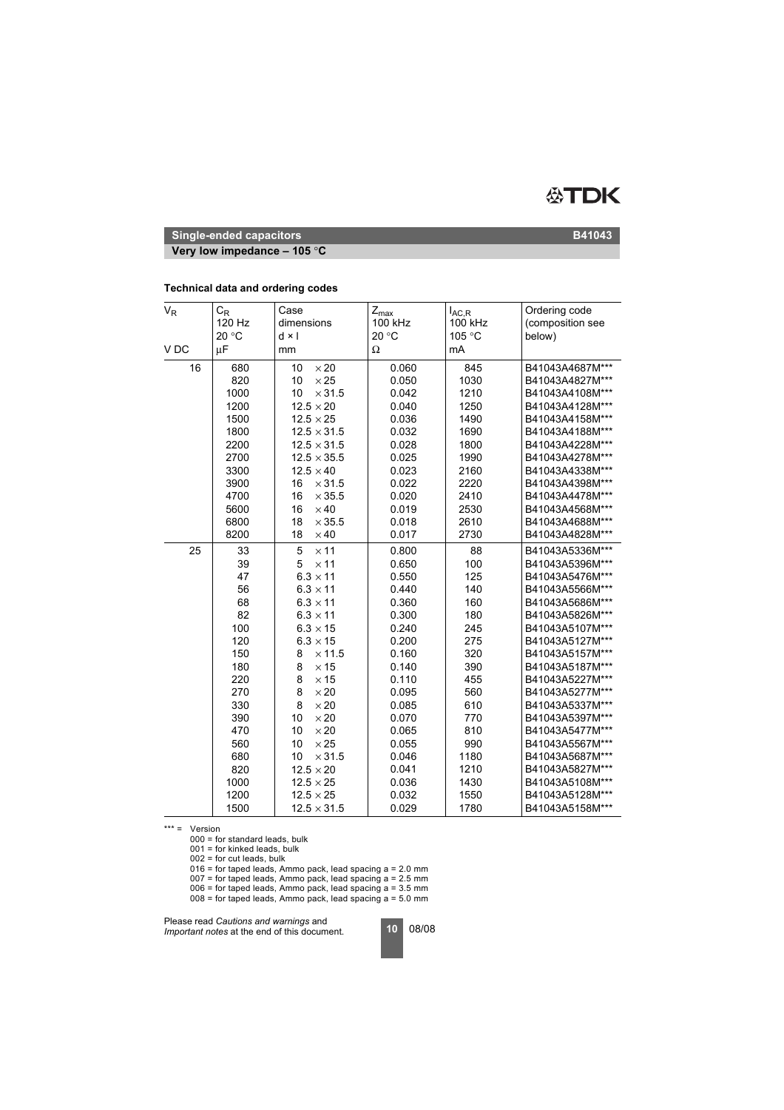

**Very low impedance – 105** °**C**

### **Technical data and ordering codes**

| $V_R$ | $C_R$<br>120 Hz<br>20 °C | Case<br>dimensions<br>$d \times l$     | $Z_{\sf max}$<br>100 kHz<br>20 °C | $I_{AC,R}$<br>100 kHz<br>105 °C | Ordering code<br>(composition see<br>below) |
|-------|--------------------------|----------------------------------------|-----------------------------------|---------------------------------|---------------------------------------------|
| V DC  | μF                       | mm                                     | Ω                                 | mA                              |                                             |
| 16    | 680<br>820               | $\times 20$<br>10<br>10<br>$\times 25$ | 0.060<br>0.050                    | 845<br>1030                     | B41043A4687M***<br>B41043A4827M***          |
|       | 1000                     | $\times$ 31.5<br>10                    | 0.042                             | 1210                            | B41043A4108M***                             |
|       | 1200                     | $12.5 \times 20$                       | 0.040                             | 1250                            | B41043A4128M***                             |
|       | 1500                     | $12.5 \times 25$                       | 0.036                             | 1490                            | B41043A4158M***                             |
|       | 1800                     | $12.5 \times 31.5$                     | 0.032                             | 1690                            | B41043A4188M***                             |
|       | 2200                     | $12.5 \times 31.5$                     | 0.028                             | 1800                            | B41043A4228M***                             |
|       | 2700                     | $12.5 \times 35.5$                     | 0.025                             | 1990                            | B41043A4278M***                             |
|       | 3300                     | $12.5 \times 40$                       | 0.023                             | 2160                            | B41043A4338M***                             |
|       | 3900                     | 16<br>$\times$ 31.5                    | 0.022                             | 2220                            | B41043A4398M***                             |
|       | 4700                     | 16<br>$\times$ 35.5                    | 0.020                             | 2410                            | B41043A4478M***                             |
|       | 5600                     | $\times$ 40<br>16                      | 0.019                             | 2530                            | B41043A4568M***                             |
|       | 6800                     | $\times$ 35.5<br>18                    | 0.018                             | 2610                            | B41043A4688M***                             |
|       | 8200                     | 18<br>$\times$ 40                      | 0.017                             | 2730                            | B41043A4828M***                             |
| 25    | 33                       | $\times$ 11<br>5                       | 0.800                             | 88                              | B41043A5336M***                             |
|       | 39                       | $\times$ 11<br>5                       | 0.650                             | 100                             | B41043A5396M***                             |
|       | 47                       | $6.3 \times 11$                        | 0.550                             | 125                             | B41043A5476M***                             |
|       | 56                       | $6.3 \times 11$                        | 0.440                             | 140                             | B41043A5566M***                             |
|       | 68                       | $6.3 \times 11$                        | 0.360                             | 160                             | B41043A5686M***                             |
|       | 82                       | $6.3 \times 11$                        | 0.300                             | 180                             | B41043A5826M***                             |
|       | 100                      | $6.3 \times 15$                        | 0.240                             | 245                             | B41043A5107M***                             |
|       | 120                      | $6.3 \times 15$                        | 0.200                             | 275                             | B41043A5127M***                             |
|       | 150                      | $\times$ 11.5<br>8                     | 0.160                             | 320                             | B41043A5157M***                             |
|       | 180                      | 8<br>$\times$ 15                       | 0.140                             | 390                             | B41043A5187M***                             |
|       | 220                      | $\times$ 15<br>8                       | 0.110                             | 455                             | B41043A5227M***                             |
|       | 270                      | 8<br>$\times 20$                       | 0.095                             | 560                             | B41043A5277M***                             |
|       | 330                      | $\times 20$<br>8                       | 0.085                             | 610                             | B41043A5337M***                             |
|       | 390                      | $\times 20$<br>10                      | 0.070                             | 770                             | B41043A5397M***                             |
|       | 470                      | $\times 20$<br>10                      | 0.065                             | 810                             | B41043A5477M***                             |
|       | 560                      | 10<br>$\times 25$                      | 0.055                             | 990                             | B41043A5567M***                             |
|       | 680                      | 10<br>$\times$ 31.5                    | 0.046                             | 1180                            | B41043A5687M***                             |
|       | 820                      | $12.5 \times 20$                       | 0.041                             | 1210                            | B41043A5827M***                             |
|       | 1000                     | $12.5 \times 25$                       | 0.036                             | 1430                            | B41043A5108M***                             |
|       | 1200                     | $12.5 \times 25$                       | 0.032                             | 1550                            | B41043A5128M***                             |
|       | 1500                     | $12.5 \times 31.5$                     | 0.029                             | 1780                            | B41043A5158M***                             |

\*\*\* = Version

000 = for standard leads, bulk

 $001$  = for kinked leads, bulk

 $002$  = for cut leads, bulk

 $016$  = for taped leads, Ammo pack, lead spacing a = 2.0 mm

 $007$  = for taped leads, Ammo pack, lead spacing a = 2.5 mm

 $006$  = for taped leads, Ammo pack, lead spacing a = 3.5 mm

 $008$  = for taped leads, Ammo pack, lead spacing  $a = 5.0$  mm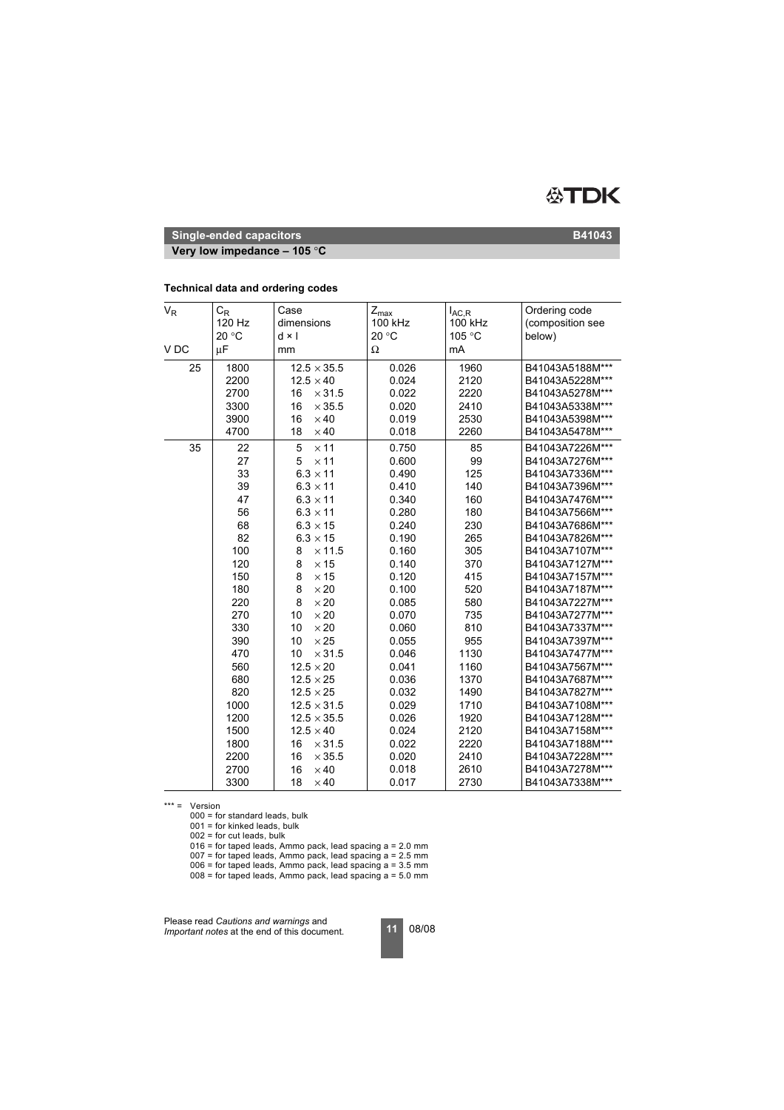

**Very low impedance – 105** °**C**

### **Technical data and ordering codes**

| $V_R$           | $C_R$<br>120 Hz<br>20 °C | Case<br>dimensions<br>$d \times l$         | $Z_{\sf max}$<br>100 kHz<br>20 °C | $I_{AC,R}$<br>100 kHz<br>105 °C | Ordering code<br>(composition see<br>below) |
|-----------------|--------------------------|--------------------------------------------|-----------------------------------|---------------------------------|---------------------------------------------|
| V <sub>DC</sub> | μF                       | mm                                         | Ω                                 | mA                              |                                             |
| 25              | 1800<br>2200             | $12.5 \times 35.5$<br>$12.5 \times 40$     | 0.026<br>0.024                    | 1960<br>2120                    | B41043A5188M***<br>B41043A5228M***          |
|                 | 2700<br>3300             | 16<br>$\times$ 31.5<br>16<br>$\times$ 35.5 | 0.022<br>0.020                    | 2220<br>2410                    | B41043A5278M***<br>B41043A5338M***          |
|                 | 3900<br>4700             | 16<br>$\times$ 40<br>$\times$ 40<br>18     | 0.019<br>0.018                    | 2530<br>2260                    | B41043A5398M***<br>B41043A5478M***          |
| 35              | 22<br>27                 | 5<br>$\times$ 11<br>$\times$ 11<br>5       | 0.750<br>0.600                    | 85<br>99                        | B41043A7226M***<br>B41043A7276M***          |
|                 | 33<br>39                 | $6.3 \times 11$<br>$6.3 \times 11$         | 0.490<br>0.410                    | 125<br>140                      | B41043A7336M***<br>B41043A7396M***          |
|                 | 47<br>56                 | $6.3 \times 11$<br>$6.3 \times 11$         | 0.340<br>0.280                    | 160<br>180                      | B41043A7476M***<br>B41043A7566M***          |
|                 | 68<br>82                 | $6.3 \times 15$<br>$6.3 \times 15$         | 0.240<br>0.190                    | 230<br>265                      | B41043A7686M***<br>B41043A7826M***          |
|                 | 100<br>120               | $\times$ 11.5<br>8<br>8<br>$\times$ 15     | 0.160<br>0.140                    | 305<br>370                      | B41043A7107M***<br>B41043A7127M***          |
|                 | 150<br>180               | 8<br>$\times$ 15<br>8<br>$\times 20$       | 0.120<br>0.100                    | 415<br>520                      | B41043A7157M***<br>B41043A7187M***          |
|                 | 220<br>270               | 8<br>$\times 20$<br>$\times 20$<br>10      | 0.085<br>0.070                    | 580<br>735                      | B41043A7227M***<br>B41043A7277M***          |
|                 | 330<br>390               | 10<br>$\times 20$<br>$\times 25$<br>10     | 0.060<br>0.055                    | 810<br>955                      | B41043A7337M***<br>B41043A7397M***          |
|                 | 470<br>560               | 10<br>$\times$ 31.5<br>$12.5 \times 20$    | 0.046<br>0.041                    | 1130<br>1160                    | B41043A7477M***<br>B41043A7567M***          |
|                 | 680<br>820               | $12.5 \times 25$<br>$12.5 \times 25$       | 0.036<br>0.032                    | 1370<br>1490                    | B41043A7687M***<br>B41043A7827M***          |
|                 | 1000<br>1200             | $12.5 \times 31.5$<br>$12.5 \times 35.5$   | 0.029<br>0.026                    | 1710<br>1920                    | B41043A7108M***<br>B41043A7128M***          |
|                 | 1500<br>1800             | $12.5 \times 40$<br>$\times$ 31.5<br>16    | 0.024<br>0.022                    | 2120<br>2220                    | B41043A7158M***<br>B41043A7188M***          |
|                 | 2200<br>2700             | 16<br>$\times$ 35.5<br>16<br>$\times$ 40   | 0.020<br>0.018                    | 2410<br>2610                    | B41043A7228M***<br>B41043A7278M***          |
|                 | 3300                     | 18<br>$\times$ 40                          | 0.017                             | 2730                            | B41043A7338M***                             |

 $*** =$  Version

000 = for standard leads, bulk

 $001$  = for kinked leads, bulk

 $002$  = for cut leads, bulk

016 = for taped leads, Ammo pack, lead spacing a = 2.0 mm

 $007$  = for taped leads, Ammo pack, lead spacing a = 2.5 mm

 $006$  = for taped leads, Ammo pack, lead spacing  $a = 3.5$  mm

008 = for taped leads, Ammo pack, lead spacing a = 5.0 mm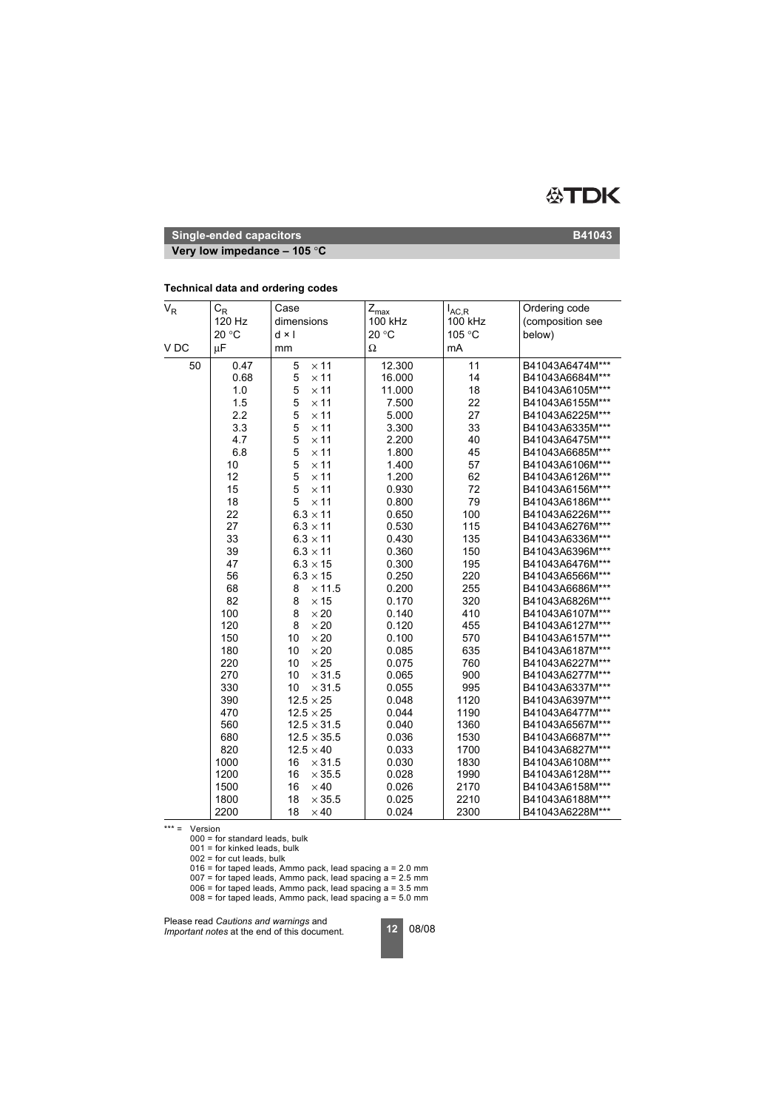

**Very low impedance – 105** °**C**

| $\mathsf{V}_{\mathsf{R}}$ | $\mathrm{C}_{\mathsf{R}}$<br>120 Hz | Case<br>dimensions  | $Z_{\sf max}$<br>100 kHz | $I_{AC,R}$<br>100 kHz | Ordering code<br>(composition see |
|---------------------------|-------------------------------------|---------------------|--------------------------|-----------------------|-----------------------------------|
|                           | 20 °C                               | $d \times l$        | 20 °C                    | 105 °C                | below)                            |
| V <sub>DC</sub>           | $\mu$ F                             | mm                  | Ω                        | mA                    |                                   |
| 50                        | 0.47                                | $\times$ 11<br>5    | 12.300                   | 11                    | B41043A6474M***                   |
|                           | 0.68                                | 5<br>$\times$ 11    | 16.000                   | 14                    | B41043A6684M***                   |
|                           | 1.0                                 | 5<br>$\times$ 11    | 11.000                   | 18                    | B41043A6105M***                   |
|                           | 1.5                                 | 5<br>$\times$ 11    | 7.500                    | 22                    | B41043A6155M***                   |
|                           | 2.2                                 | 5<br>$\times$ 11    | 5.000                    | 27                    | B41043A6225M***                   |
|                           | 3.3                                 | 5<br>$\times$ 11    | 3.300                    | 33                    | B41043A6335M***                   |
|                           | 4.7                                 | 5<br>$\times$ 11    | 2.200                    | 40                    | B41043A6475M***                   |
|                           | 6.8                                 | 5<br>$\times$ 11    | 1.800                    | 45                    | B41043A6685M***                   |
|                           | 10                                  | 5<br>$\times$ 11    | 1.400                    | 57                    | B41043A6106M***                   |
|                           | 12                                  | 5<br>$\times$ 11    | 1.200                    | 62                    | B41043A6126M***                   |
|                           | 15                                  | 5<br>$\times$ 11    | 0.930                    | 72                    | B41043A6156M***                   |
|                           | 18                                  | 5<br>$\times$ 11    | 0.800                    | 79                    | B41043A6186M***                   |
|                           | 22                                  | $6.3 \times 11$     | 0.650                    | 100                   | B41043A6226M***                   |
|                           | 27                                  | $6.3 \times 11$     | 0.530                    | 115                   | B41043A6276M***                   |
|                           | 33                                  | $6.3 \times 11$     | 0.430                    | 135                   | B41043A6336M***                   |
|                           | 39                                  | $6.3 \times 11$     | 0.360                    | 150                   | B41043A6396M***                   |
|                           | 47                                  | $6.3 \times 15$     | 0.300                    | 195                   | B41043A6476M***                   |
|                           | 56                                  | $6.3 \times 15$     | 0.250                    | 220                   | B41043A6566M***                   |
|                           | 68                                  | 8<br>$\times$ 11.5  | 0.200                    | 255                   | B41043A6686M***                   |
|                           | 82                                  | $\times$ 15<br>8    | 0.170                    | 320                   | B41043A6826M***                   |
|                           | 100                                 | 8<br>$\times 20$    | 0.140                    | 410                   | B41043A6107M***                   |
|                           | 120                                 | 8<br>$\times 20$    | 0.120                    | 455                   | B41043A6127M***                   |
|                           | 150                                 | $\times 20$<br>10   | 0.100                    | 570                   | B41043A6157M***                   |
|                           | 180                                 | 10<br>$\times 20$   | 0.085                    | 635                   | B41043A6187M***                   |
|                           | 220                                 | 10<br>$\times 25$   | 0.075                    | 760                   | B41043A6227M***                   |
|                           | 270                                 | 10<br>$\times$ 31.5 | 0.065                    | 900                   | B41043A6277M***                   |
|                           | 330                                 | 10<br>$\times$ 31.5 | 0.055                    | 995                   | B41043A6337M***                   |
|                           | 390                                 | $12.5 \times 25$    | 0.048                    | 1120                  | B41043A6397M***                   |
|                           | 470                                 | $12.5 \times 25$    | 0.044                    | 1190                  | B41043A6477M***                   |
|                           | 560                                 | $12.5 \times 31.5$  | 0.040                    | 1360                  | B41043A6567M***                   |
|                           | 680                                 | $12.5 \times 35.5$  | 0.036                    | 1530                  | B41043A6687M***                   |
|                           | 820                                 | $12.5 \times 40$    | 0.033                    | 1700                  | B41043A6827M***                   |
|                           | 1000                                | 16<br>$\times$ 31.5 | 0.030                    | 1830                  | B41043A6108M***                   |
|                           | 1200                                | 16<br>$\times$ 35.5 | 0.028                    | 1990                  | B41043A6128M***                   |
|                           | 1500                                | 16<br>$\times$ 40   | 0.026                    | 2170                  | B41043A6158M***                   |
|                           | 1800                                | 18<br>$\times$ 35.5 | 0.025                    | 2210                  | B41043A6188M***                   |
|                           | 2200                                | 18<br>$\times$ 40   | 0.024                    | 2300                  | B41043A6228M***                   |

### **Technical data and ordering codes**

\*\*\* = Version

000 = for standard leads, bulk

001 = for kinked leads, bulk

 $002$  = for cut leads, bulk

016 = for taped leads, Ammo pack, lead spacing a = 2.0 mm

 $007$  = for taped leads, Ammo pack, lead spacing  $a = 2.5$  mm

 $006$  = for taped leads, Ammo pack, lead spacing  $a = 3.5$  mm

 $008$  = for taped leads, Ammo pack, lead spacing  $a = 5.0$  mm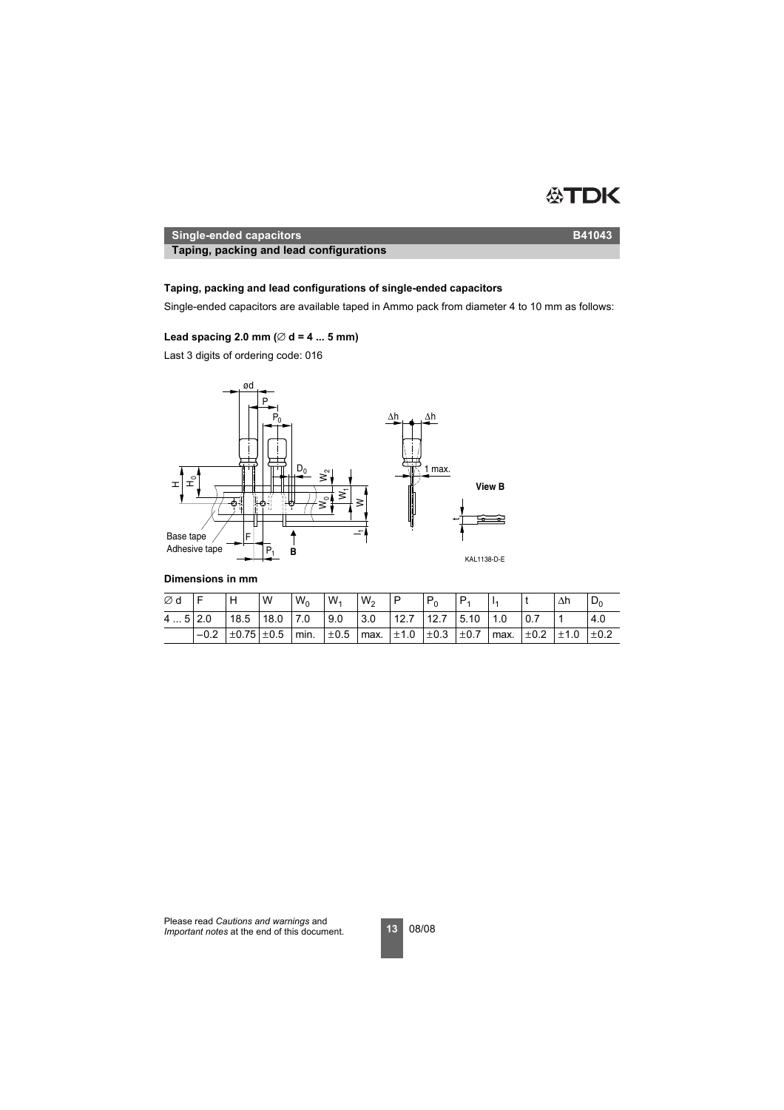

**Taping, packing and lead configurations Taping, packing and lead configurations**

# **Taping, packing and lead configurations of single-ended capacitors**

Single-ended capacitors are available taped in Ammo pack from diameter 4 to 10 mm as follows:

# Lead spacing 2.0 mm ( $\varnothing$  d = 4 ... 5 mm)

Last 3 digits of ordering code: 016



### **Dimensions in mm**

| Ød       |        | H                         | W | $W_0$ | $W_1$ | W <sub>2</sub> | ιP                                                 | $P_0$ |                      |  | Δh                                               | υη  |
|----------|--------|---------------------------|---|-------|-------|----------------|----------------------------------------------------|-------|----------------------|--|--------------------------------------------------|-----|
| $45$ 2.0 |        | $18.5$ 18.0 7.0           |   |       | 9.0   | 3.0            |                                                    |       | $12.7$ 12.7 5.10 1.0 |  |                                                  | 4.0 |
|          | $-0.2$ | $\pm 0.75$ $\pm 0.5$ min. |   |       |       |                | $\pm 0.5$   max. $\pm 1.0$   $\pm 0.3$   $\pm 0.7$ |       |                      |  | $\frac{1}{2}$ max. $\pm$ 0.2 $\pm$ 1.0 $\pm$ 0.2 |     |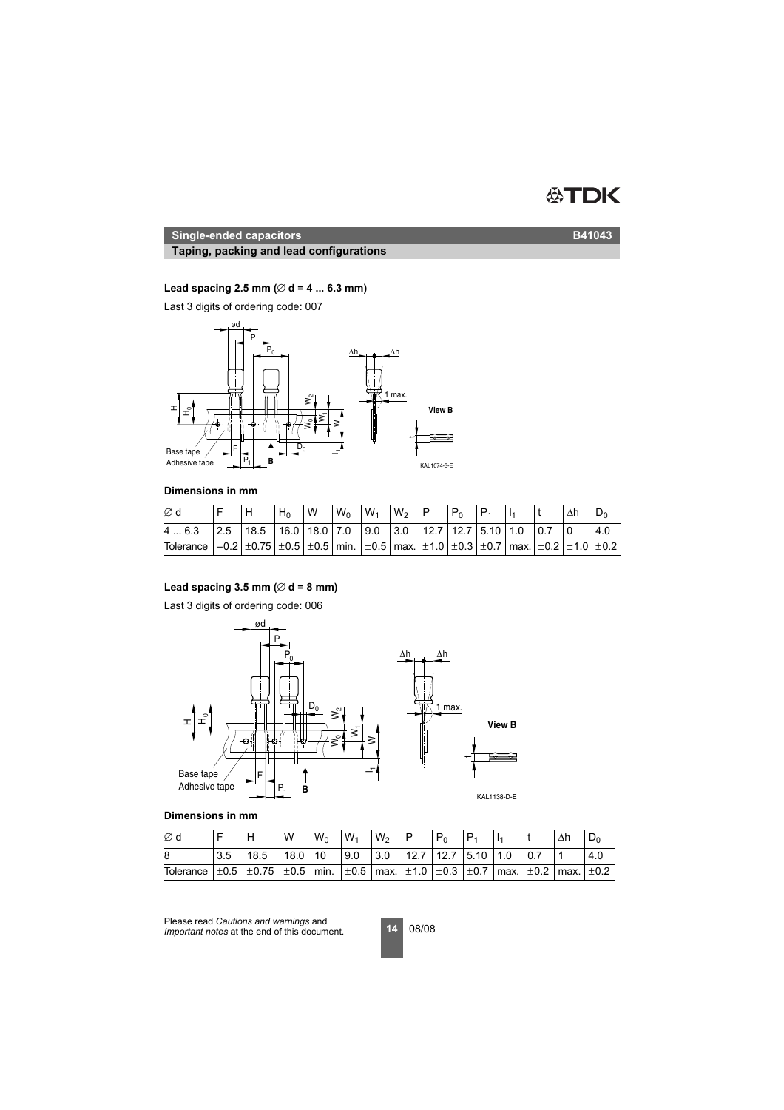# **ATDK**

# **Single-ended capacitors B41043**

# **Taping, packing and lead configurations**

# **Lead spacing 2.5 mm (**∅ **d = 4 ... 6.3 mm)**

Last 3 digits of ordering code: 007



# **Dimensions in mm**

| Ød                                                                                                                                                                                                               |                                                                                                                                 | $H_0$ | W | $W_0$ | $W_1$ | $W_2$ | $P_{0}$ |  |  |     |
|------------------------------------------------------------------------------------------------------------------------------------------------------------------------------------------------------------------|---------------------------------------------------------------------------------------------------------------------------------|-------|---|-------|-------|-------|---------|--|--|-----|
| 46.3                                                                                                                                                                                                             | $\vert 2.5 \vert 18.5 \vert 16.0 \vert 18.0 \vert 7.0 \vert 9.0 \vert 3.0 \vert 12.7 \vert 12.7 \vert 5.10 \vert 1.0 \vert 0.7$ |       |   |       |       |       |         |  |  | 4.0 |
| Tolerance $\vert -0.2 \vert \pm 0.75 \vert \pm 0.5 \vert \pm 0.5 \vert$ min. $\vert \pm 0.5 \vert$ max. $\vert \pm 1.0 \vert \pm 0.3 \vert \pm 0.7 \vert$ max. $\vert \pm 0.2 \vert \pm 1.0 \vert \pm 0.2 \vert$ |                                                                                                                                 |       |   |       |       |       |         |  |  |     |

# Lead spacing  $3.5$  mm ( $\varnothing$  d = 8 mm)

Last 3 digits of ordering code: 006



# **Dimensions in mm**

| Ød        |     | Н                                                                                                              | W    | $W_0$ | $W_1$ | $W_2$ | P                        |  |  | Δh | ⊃∟  |
|-----------|-----|----------------------------------------------------------------------------------------------------------------|------|-------|-------|-------|--------------------------|--|--|----|-----|
| 8         | 3.5 | 18.5                                                                                                           | 18.0 | 10    | 9.0   | 3.0   | 12.7   12.7   5.10   1.0 |  |  |    | 4.0 |
| Tolerance |     | $\pm 0.5$ $\pm 0.75$ $\pm 0.5$ min. $\pm 0.5$ max. $\pm 1.0$ $\pm 0.3$ $\pm 0.7$ max. $\pm 0.2$ max. $\pm 0.2$ |      |       |       |       |                          |  |  |    |     |

Please read *Cautions and warnings* and *Important notes* at the end of this document.

**14** 08/08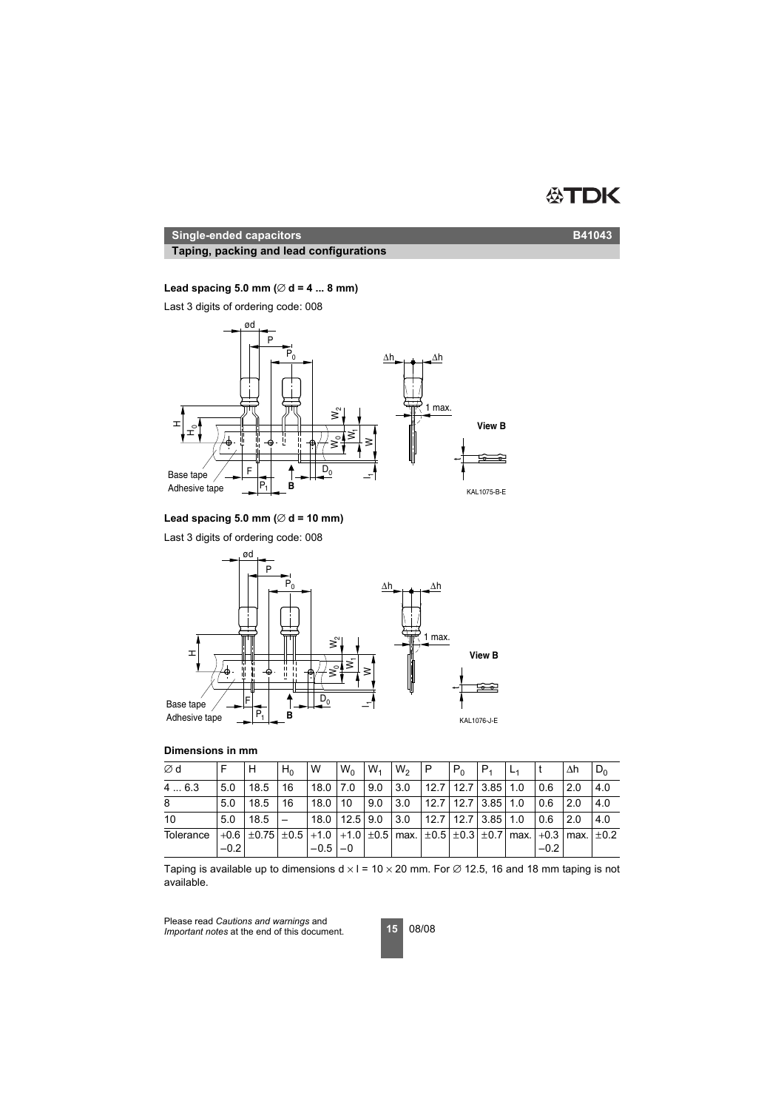### DK 怂

### **Single-ended capacitors B41043**

# **Taping, packing and lead configurations**

# **Lead spacing 5.0 mm (**∅ **d = 4 ... 8 mm)**

Last 3 digits of ordering code: 008



### **Lead spacing 5.0 mm (**∅ **d = 10 mm)**

Last 3 digits of ordering code: 008



### **Dimensions in mm**

| ∅d        |        |                                                                                                             | $H_0$ | W                         | $W_0$ | $W_1$ | $W_2$ | IP.                        | $P_0$ | IP <sub>1</sub> |        | Δh   | $D_0$ |
|-----------|--------|-------------------------------------------------------------------------------------------------------------|-------|---------------------------|-------|-------|-------|----------------------------|-------|-----------------|--------|------|-------|
| 4  6.3    | 50     | 18.5                                                                                                        | 16    | 18.0 7.0                  |       | 9.0   | 3.0   | 12.7 12.7 3.85 1.0         |       |                 | 0.6    | 2.0  | 4.0   |
| 8         | 5.0    | 18.5                                                                                                        | 16    | 18.0                      | 10    | 9.0   | 3.0   | $12.7$   12.7   3.85   1.0 |       |                 | 0.6    | 2.0  | 4.0   |
| 10        | 5.0    | 18.5                                                                                                        |       | $18.0$   12.5   9.0   3.0 |       |       |       | $12.7$   12.7   3.85   1.0 |       |                 | 0.6    | 12.0 | 4.0   |
| Tolerance | $-0.2$ | $+0.6$ $\pm$ 0.75 $\pm$ 0.5 +1.0 +1.0 $\pm$ 0.5 max. $\pm$ 0.5 $\pm$ 0.3 $\pm$ 0.7 max. +0.3 max. $\pm$ 0.2 |       | $-0.5$ $-0$               |       |       |       |                            |       |                 | $-0.2$ |      |       |

Taping is available up to dimensions  $d \times l = 10 \times 20$  mm. For  $\varnothing$  12.5, 16 and 18 mm taping is not available.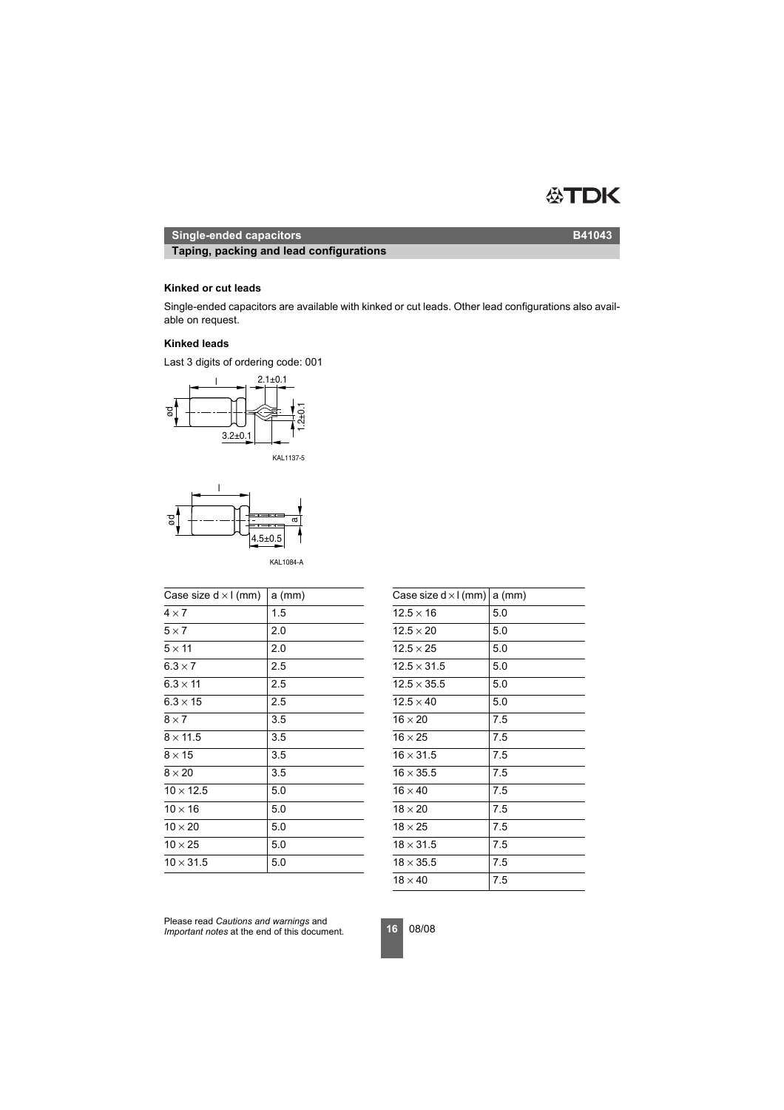#### ÆN DK

# **Single-ended capacitors B41043**

**Taping, packing and lead configurations**

# **Kinked or cut leads**

Single-ended capacitors are available with kinked or cut leads. Other lead configurations also available on request.

### **Kinked leads**

Last 3 digits of ordering code: 001







KAL1084-A

| Case size $d \times l$ (mm) | $a$ (mm) | Case size $d \times l$ (mm) a (mm) |     |
|-----------------------------|----------|------------------------------------|-----|
| $4 \times 7$                | 1.5      | $12.5 \times 16$                   | 5.0 |
| $5 \times 7$                | 2.0      | $12.5 \times 20$                   | 5.0 |
| $5 \times 11$               | 2.0      | $12.5 \times 25$                   | 5.0 |
| $6.3 \times 7$              | 2.5      | $12.5 \times 31.5$                 | 5.0 |
| $6.3 \times 11$             | 2.5      | $12.5 \times 35.5$                 | 5.0 |
| $6.3 \times 15$             | 2.5      | $12.5 \times 40$                   | 5.0 |
| $8 \times 7$                | 3.5      | $16 \times 20$                     | 7.5 |
| $8 \times 11.5$             | 3.5      | $16 \times 25$                     | 7.5 |
| $8 \times 15$               | 3.5      | $16 \times 31.5$                   | 7.5 |
| $8 \times 20$               | 3.5      | $16 \times 35.5$                   | 7.5 |
| $10 \times 12.5$            | 5.0      | $16 \times 40$                     | 7.5 |
| $10 \times 16$              | 5.0      | $18 \times 20$                     | 7.5 |
| $10 \times 20$              | 5.0      | $18 \times 25$                     | 7.5 |
| $10 \times 25$              | 5.0      | $18 \times 31.5$                   | 7.5 |
| $10 \times 31.5$            | 5.0      | $18 \times 35.5$                   | 7.5 |
|                             |          |                                    |     |

| Case size $d \times l$ (mm)   a (mm) |     |
|--------------------------------------|-----|
| $12.5 \times 16$                     | 5.0 |
| $12.5 \times 20$                     | 5.0 |
| $12.5 \times 25$                     | 5.0 |
| $12.5 \times 31.5$                   | 5.0 |
| $12.5 \times 35.5$                   | 5.0 |
| $12.5 \times 40$                     | 5.0 |
| $16 \times 20$                       | 7.5 |
| $16 \times 25$                       | 7.5 |
| $16 \times 31.5$                     | 7.5 |
| $16 \times 35.5$                     | 7.5 |
| $16 \times 40$                       | 7.5 |
| $18 \times 20$                       | 7.5 |
| $18 \times 25$                       | 7.5 |
| $18 \times 31.5$                     | 7.5 |
| $18 \times 35.5$                     | 7.5 |
| $18 \times 40$                       | 7.5 |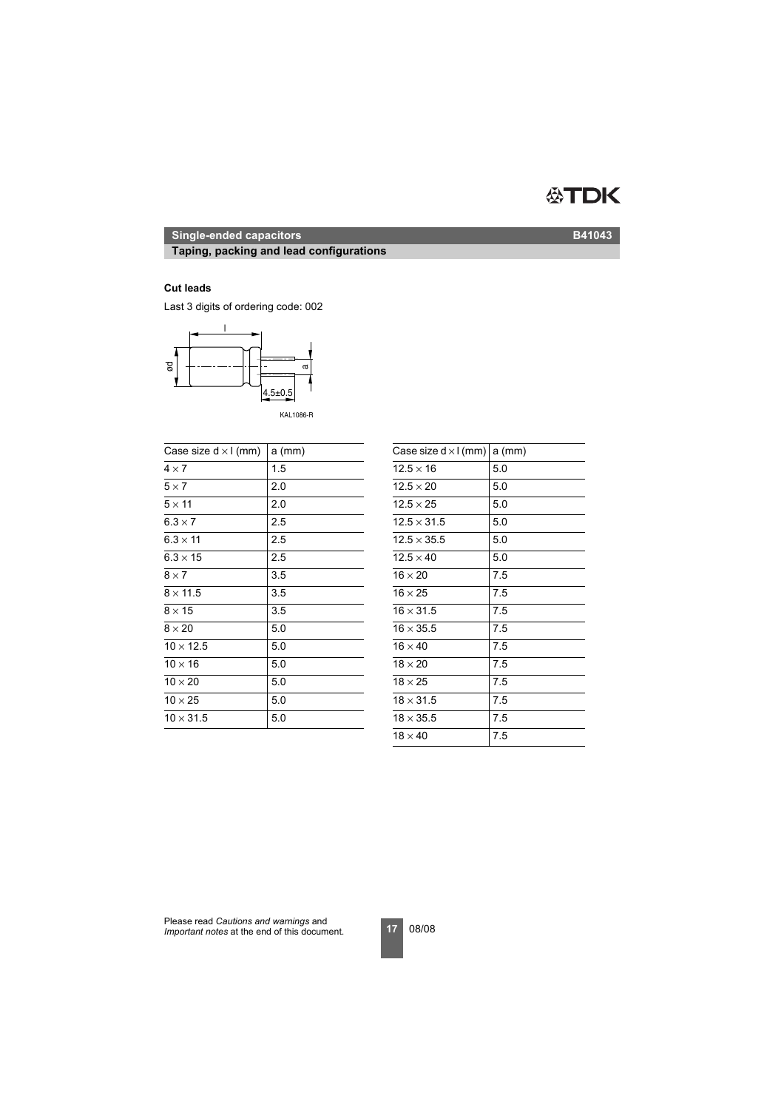# **ATDK**

# **Single-ended capacitors B41043**

# **Taping, packing and lead configurations**

### **Cut leads**

Last 3 digits of ordering code: 002



KAL1086-R

| Case size $d \times l$ (mm) | $a$ (mm) | Case size $d \times l$ (mm) a (mm) |     |
|-----------------------------|----------|------------------------------------|-----|
| $4 \times 7$                | 1.5      | $12.5 \times 16$                   | 5.0 |
| $5 \times 7$                | 2.0      | $12.5 \times 20$                   | 5.0 |
| $5 \times 11$               | 2.0      | $12.5 \times 25$                   | 5.0 |
| $6.3 \times 7$              | 2.5      | $12.5 \times 31.5$                 | 5.0 |
| $6.3 \times 11$             | 2.5      | $12.5 \times 35.5$                 | 5.0 |
| $6.3 \times 15$             | 2.5      | $12.5 \times 40$                   | 5.0 |
| $8 \times 7$                | 3.5      | $16 \times 20$                     | 7.5 |
| $8 \times 11.5$             | 3.5      | $16 \times 25$                     | 7.5 |
| $8 \times 15$               | 3.5      | $16 \times 31.5$                   | 7.5 |
| $8 \times 20$               | 5.0      | $16 \times 35.5$                   | 7.5 |
| $10 \times 12.5$            | 5.0      | $16 \times 40$                     | 7.5 |
| $10 \times 16$              | 5.0      | $18 \times 20$                     | 7.5 |
| $10 \times 20$              | 5.0      | $18 \times 25$                     | 7.5 |
| $10 \times 25$              | 5.0      | $18 \times 31.5$                   | 7.5 |
| $10 \times 31.5$            | 5.0      | $18 \times 35.5$                   | 7.5 |
|                             |          |                                    |     |

| Case size $d \times l$ (mm) | $a$ (mm) |
|-----------------------------|----------|
| $12.5 \times 16$            | 5.0      |
| $12.5 \times 20$            | 5.0      |
| $12.5 \times 25$            | 5.0      |
| $12.5 \times 31.5$          | 5.0      |
| $12.5 \times 35.5$          | 5.0      |
| $12.5 \times 40$            | 5.0      |
| $16 \times 20$              | 7.5      |
| $16 \times 25$              | 7.5      |
| $16 \times 31.5$            | 7.5      |
| $16 \times 35.5$            | 7.5      |
| $16 \times 40$              | 7.5      |
| $18 \times 20$              | 7.5      |
| $18 \times 25$              | 7.5      |
| $18 \times 31.5$            | 7.5      |
| $18 \times 35.5$            | 7.5      |
| $18 \times 40$              | 7.5      |
|                             |          |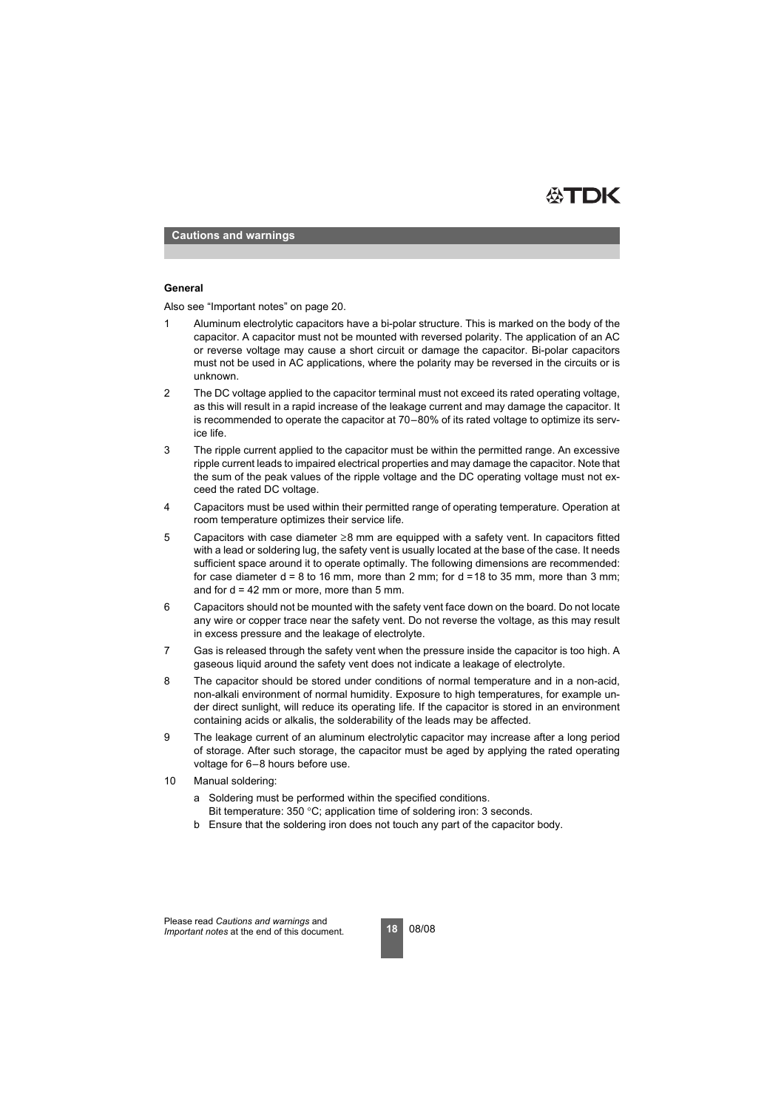

**Cautions and warnings**

### **General**

Also see "Important notes" on page 20.

- 1 Aluminum electrolytic capacitors have a bi-polar structure. This is marked on the body of the capacitor. A capacitor must not be mounted with reversed polarity. The application of an AC or reverse voltage may cause a short circuit or damage the capacitor. Bi-polar capacitors must not be used in AC applications, where the polarity may be reversed in the circuits or is unknown.
- 2 The DC voltage applied to the capacitor terminal must not exceed its rated operating voltage, as this will result in a rapid increase of the leakage current and may damage the capacitor. It is recommended to operate the capacitor at 70–80% of its rated voltage to optimize its service life.
- 3 The ripple current applied to the capacitor must be within the permitted range. An excessive ripple current leads to impaired electrical properties and may damage the capacitor. Note that the sum of the peak values of the ripple voltage and the DC operating voltage must not exceed the rated DC voltage.
- 4 Capacitors must be used within their permitted range of operating temperature. Operation at room temperature optimizes their service life.
- 5 Capacitors with case diameter ≥8 mm are equipped with a safety vent. In capacitors fitted with a lead or soldering lug, the safety vent is usually located at the base of the case. It needs sufficient space around it to operate optimally. The following dimensions are recommended: for case diameter  $d = 8$  to 16 mm, more than 2 mm; for  $d = 18$  to 35 mm, more than 3 mm; and for  $d = 42$  mm or more, more than 5 mm.
- 6 Capacitors should not be mounted with the safety vent face down on the board. Do not locate any wire or copper trace near the safety vent. Do not reverse the voltage, as this may result in excess pressure and the leakage of electrolyte.
- 7 Gas is released through the safety vent when the pressure inside the capacitor is too high. A gaseous liquid around the safety vent does not indicate a leakage of electrolyte.
- 8 The capacitor should be stored under conditions of normal temperature and in a non-acid, non-alkali environment of normal humidity. Exposure to high temperatures, for example under direct sunlight, will reduce its operating life. If the capacitor is stored in an environment containing acids or alkalis, the solderability of the leads may be affected.
- 9 The leakage current of an aluminum electrolytic capacitor may increase after a long period of storage. After such storage, the capacitor must be aged by applying the rated operating voltage for 6–8 hours before use.
- 10 Manual soldering:
	- a Soldering must be performed within the specified conditions. Bit temperature: 350 °C; application time of soldering iron: 3 seconds.
	- b Ensure that the soldering iron does not touch any part of the capacitor body.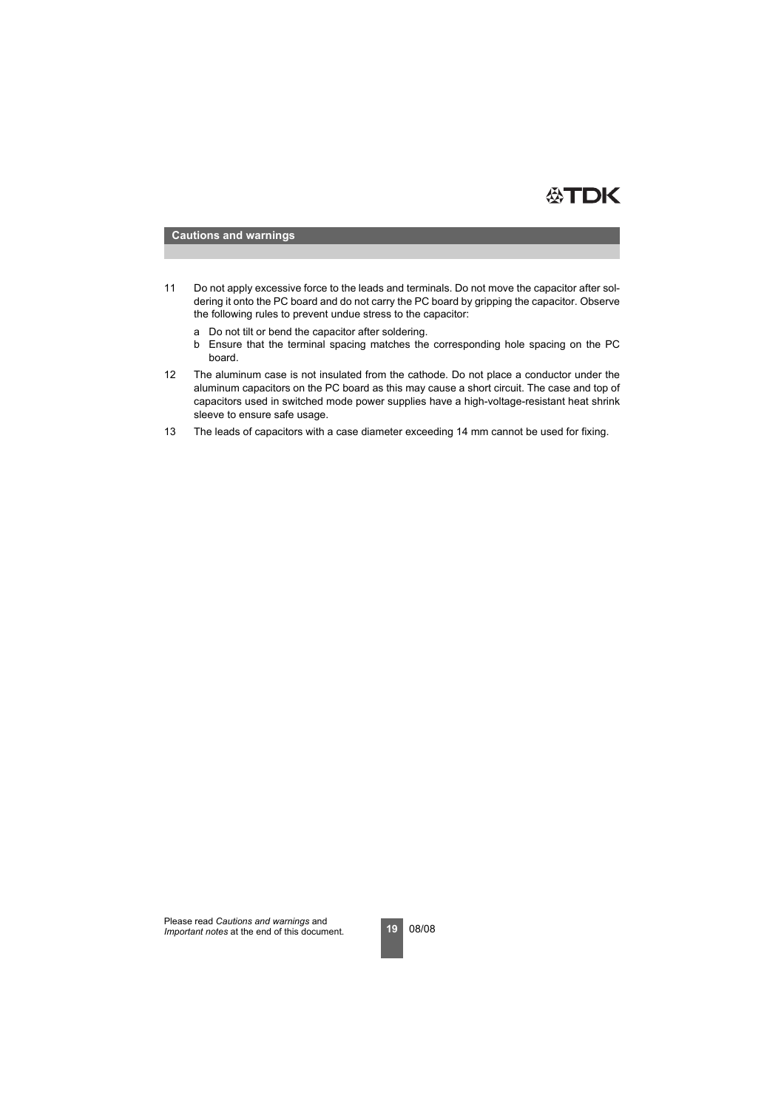

### **Cautions and warnings**

- 11 Do not apply excessive force to the leads and terminals. Do not move the capacitor after soldering it onto the PC board and do not carry the PC board by gripping the capacitor. Observe the following rules to prevent undue stress to the capacitor:
	- a Do not tilt or bend the capacitor after soldering.
	- b Ensure that the terminal spacing matches the corresponding hole spacing on the PC board.
- 12 The aluminum case is not insulated from the cathode. Do not place a conductor under the aluminum capacitors on the PC board as this may cause a short circuit. The case and top of capacitors used in switched mode power supplies have a high-voltage-resistant heat shrink sleeve to ensure safe usage.
- 13 The leads of capacitors with a case diameter exceeding 14 mm cannot be used for fixing.